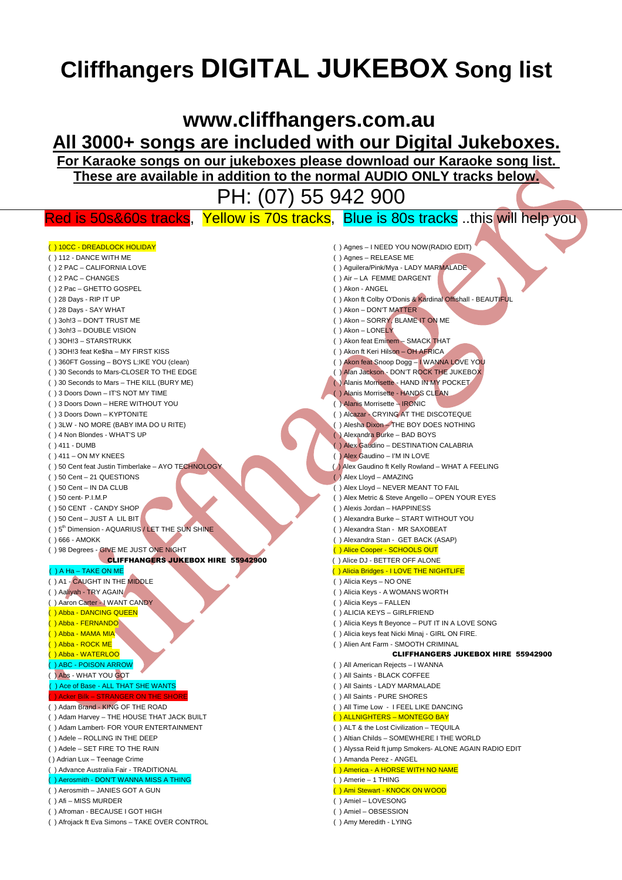# **Cliffhangers DIGITAL JUKEBOX Song list**

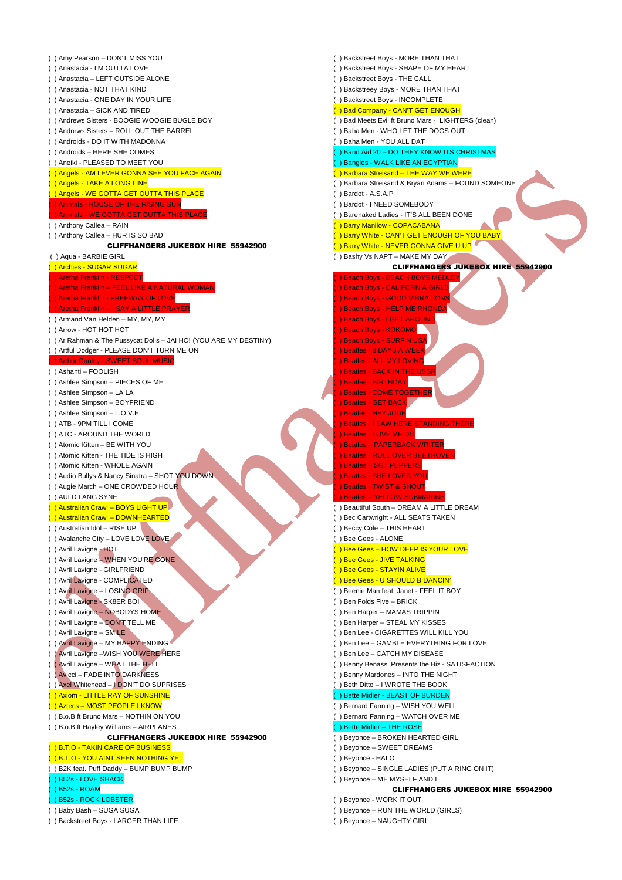( ) Amy Pearson – DON'T MISS YOU ( ) Anastacia - I'M OUTTA LOVE ( ) Anastacia – LEFT OUTSIDE ALONE ( ) Anastacia - NOT THAT KIND ( ) Anastacia - ONE DAY IN YOUR LIFE ( ) Anastacia – SICK AND TIRED ( ) Andrews Sisters - BOOGIE WOOGIE BUGLE BOY ( ) Andrews Sisters – ROLL OUT THE BARREL ( ) Androids - DO IT WITH MADONNA ( ) Androids – HERE SHE COMES ( ) Aneiki - PLEASED TO MEET YOU ( ) Angels - AM I EVER GONNA SEE YOU FACE AGAIN ( ) Angels - TAKE A LONG LINE ) Angels - WE GOTTA GET OUTTA THIS PLACE ) Animals - HOUSE OF THE RISING SUN - WE GOTTA GET OUTTA THIS PLAC ( ) Anthony Callea – RAIN ( ) Anthony Callea – HURTS SO BAD CLIFFHANGERS JUKEBOX HIRE 55942900 ( ) Aqua - BARBIE GIRL ( ) Archies - SUGAR SUGAR ) Aretha Franklin - RESPECT ) Aretha Franklin – FEEL LIKE A NATURAL W Aretha Franklin - FREEWAY OF LOVE – I SAY A LITTLE PRA ( ) Armand Van Helden – MY, MY, MY ( ) Arrow - HOT HOT HOT ( ) Ar Rahman & The Pussycat Dolls – JAI HO! (YOU ARE MY DESTINY) ( ) Artful Dodger - PLEASE DON'T TURN ME ON **SWEET SOUL MUSIC** ( ) Ashanti – FOOLISH ( ) Ashlee Simpson – PIECES OF ME ( ) Ashlee Simpson – LA LA ( ) Ashlee Simpson – BOYFRIEND ( ) Ashlee Simpson – L.O.V.E. ( ) ATB - 9PM TILL I COME ( ) ATC - AROUND THE WORLD ( ) Atomic Kitten – BE WITH YOU ( ) Atomic Kitten - THE TIDE IS HIGH ( ) Atomic Kitten - WHOLE AGAIN ( ) Audio Bullys & Nancy Sinatra – SHOT YOU DOWN ( ) Augie March – ONE CROWDED HOUR ( ) AULD LANG SYNE ( ) Australian Crawl – BOYS LIGHT UP ( ) Australian Crawl – DOWNHEARTED ( ) Australian Idol – RISE UP ( ) Avalanche City – LOVE LOVE LOVE ( ) Avril Lavigne - HOT ( ) Avril Lavigne – WHEN YOU'RE GONE ( ) Avril Lavigne - GIRLFRIEND ( ) Avril Lavigne - COMPLICATED ( ) Avril Lavigne – LOSING GRIP ( ) Avril Lavigne - SK8ER BOI ( ) Avril Lavigne – NOBODYS HOME ( ) Avril Lavigne – DON'T TELL ME ( ) Avril Lavigne – SMILE ( ) Avril Lavigne – MY HAPPY ENDING ( ) Avril Lavigne –WISH YOU WERE HERE ( ) Avril Lavigne – WHAT THE HELL ( ) Avicci – FADE INTO DARKNESS ( ) Axel Whitehead – I DON'T DO SUPRISES ( ) Axiom - LITTLE RAY OF SUNSHINE ( ) Aztecs – MOST PEOPLE I KNOW ( ) B.o.B ft Bruno Mars – NOTHIN ON YOU ( ) B.o.B ft Hayley Williams – AIRPLANES CLIFFHANGERS JUKEBOX HIRE 55942900 ( ) B.T.O - TAKIN CARE OF BUSINESS ( ) B.T.O - YOU AINT SEEN NOTHING YET ( ) B2K feat. Puff Daddy – BUMP BUMP BUMP ( ) B52s - LOVE SHACK ( ) B52s - ROAM ( ) B52s - ROCK LOBSTER ( ) Baby Bash – SUGA SUGA ( ) Backstreet Boys - LARGER THAN LIFE

( ) Backstreet Boys - MORE THAN THAT ( ) Backstreet Boys - SHAPE OF MY HEART ( ) Backstreet Boys - THE CALL ( ) Backstreey Boys - MORE THAN THAT ( ) Backstreet Boys - INCOMPLETE ( ) Bad Company - CAN'T GET ENOUGH ( ) Bad Meets Evil ft Bruno Mars - LIGHTERS (clean) ( ) Baha Men - WHO LET THE DOGS OUT ( ) Baha Men - YOU ALL DAT ( ) Band Aid 20 – DO THEY KNOW ITS CHRISTMAS ( ) Bangles - WALK LIKE AN EGYPTIAN ( ) Barbara Streisand – THE WAY WE WERE ( ) Barbara Streisand & Bryan Adams – FOUND SOMEONE ( ) Bardot - A.S.A.P ( ) Bardot - I NEED SOMEBODY ( ) Barenaked Ladies - IT'S ALL BEEN DONE ( ) Barry Manilow - COPACABANA ( ) Barry White - CAN'T GET ENOUGH OF YOU BABY ) Barry White - NEVER GONNA GIVE U UP ( ) Bashy Vs NAPT – MAKE MY DAY CLIFFHANGERS JUKEBOX HIRE 55942900 ) Beach Boys - BEACH BOYS MEDLE ( ) Beach Boys - CALIFORNIA GIRLS Beach Boys - GOOD VIBRATIONS ( ) Beach Boys - HELP ME RHOND ( ) Beach Boys - I GET AROUND ) Beach Boys - KOKOMO<mark>L</mark> ( Beach Boys - SURFIN US ) Beatles - 8 DAYS A WEEK ( ) Beatles - ALL MY LOVING ( ) Beatles - BACK IN THE US ) Beatles - BIRTHDAY Beatles - COME TOGETHER ( ) Beatles - GET BACK ( ) Beatles - HEY JUDE ( ) Beatles - I SAW HERE STANDING TH ( ) Beatles - LOVE ME DO Beatles – PAPERBACK WRITER ( ) Beatles - ROLL OVER BEETHOVE **Beatles – SGT PEPPERS** ) Beatles - SHE LOVES YOU Beatles - TWIST & SHOUT ( ) Beatles – YELLOW SUBMARINE ( ) Beautiful South – DREAM A LITTLE DREAM ) Bec Cartwright - ALL SEATS TAKEN ( ) Beccy Cole – THIS HEART ( ) Bee Gees - ALONE ( ) Bee Gees – HOW DEEP IS YOUR LOVE ( ) Bee Gees - JIVE TALKING ) Bee Gees - STAYIN ALIVE ( ) Bee Gees - U SHOULD B DANCIN' ( ) Beenie Man feat. Janet - FEEL IT BOY ( ) Ben Folds Five – BRICK ( ) Ben Harper – MAMAS TRIPPIN ( ) Ben Harper – STEAL MY KISSES ( ) Ben Lee - CIGARETTES WILL KILL YOU ( ) Ben Lee – GAMBLE EVERYTHING FOR LOVE ( ) Ben Lee – CATCH MY DISEASE ( ) Benny Benassi Presents the Biz - SATISFACTION ( ) Benny Mardones – INTO THE NIGHT ( ) Beth Ditto – I WROTE THE BOOK ( ) Bette Midler - BEAST OF BURDEN ( ) Bernard Fanning – WISH YOU WELL ( ) Bernard Fanning – WATCH OVER ME ) Bette Midler – THE ROSE ( ) Beyonce – BROKEN HEARTED GIRL ( ) Beyonce – SWEET DREAMS ( ) Beyonce - HALO ( ) Beyonce – SINGLE LADIES (PUT A RING ON IT) ( ) Beyonce – ME MYSELF AND I

#### CLIFFHANGERS JUKEBOX HIRE 55942900

- ( ) Beyonce WORK IT OUT ( ) Beyonce – RUN THE WORLD (GIRLS)
- ( ) Beyonce NAUGHTY GIRL
-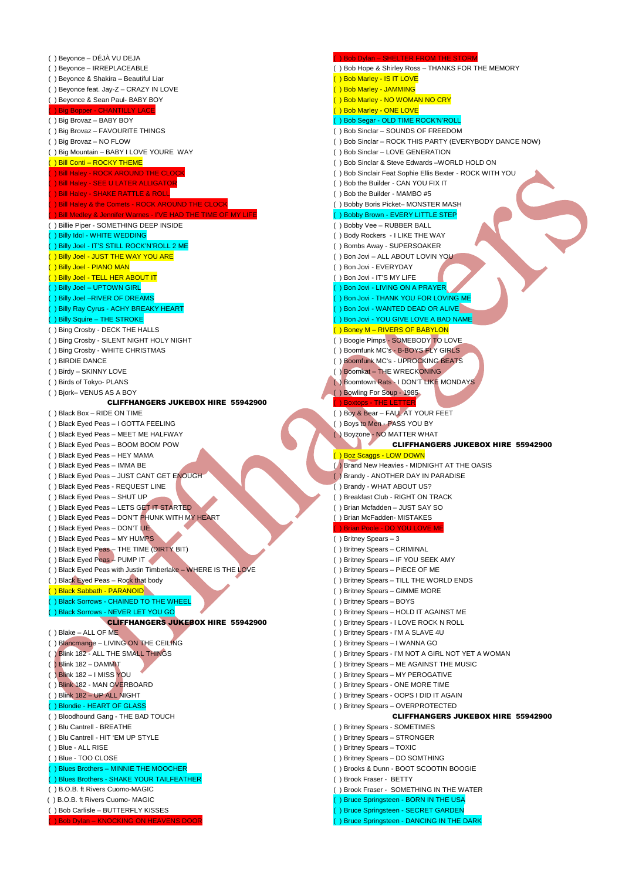( ) Beyonce – DÉJÀ VU DEJA ( ) Beyonce – IRREPLACEABLE ( ) Beyonce & Shakira – Beautiful Liar ( ) Beyonce feat. Jay-Z – CRAZY IN LOVE ( ) Beyonce & Sean Paul- BABY BOY ( ) Big Bopper - CHANTILLY LACE ( ) Big Brovaz – BABY BOY ( ) Big Brovaz – FAVOURITE THINGS ( ) Big Brovaz – NO FLOW ( ) Big Mountain – BABY I LOVE YOURE WAY ( ) Bill Conti – ROCKY THEME ( ) Bill Haley - ROCK AROUND THE CLOCK ( ) Bill Haley - SEE U LATER ALLIGATOR ( ) Bill Haley - SHAKE RATTLE & ROLL ) Bill Haley & the Comets - ROCK AROUND THE CLOCK (ennifer Warnes - I'VE HAD THE TIME OF MY LIF ( ) Billie Piper - SOMETHING DEEP INSIDE ( ) Billy Idol - WHITE WEDDING ( ) Billy Joel - IT'S STILL ROCK'N'ROLL 2 ME ( ) Billy Joel - JUST THE WAY YOU ARE ( ) Billy Joel - PIANO MAN ( ) Billy Joel - TELL HER ABOUT IT ( ) Billy Joel – UPTOWN GIRL ( ) Billy Joel –RIVER OF DREAMS ( ) Billy Ray Cyrus - ACHY BREAKY HEART ( ) Billy Squire – THE STROKE ( ) Bing Crosby - DECK THE HALLS ( ) Bing Crosby - SILENT NIGHT HOLY NIGHT ( ) Bing Crosby - WHITE CHRISTMAS ( ) BIRDIE DANCE ( ) Birdy – SKINNY LOVE ( ) Birds of Tokyo- PLANS ( ) Bjork– VENUS AS A BOY CLIFFHANGERS JUKEBOX HIRE 55942900 ( ) Black Box – RIDE ON TIME ( ) Black Eyed Peas – I GOTTA FEELING ( ) Black Eyed Peas – MEET ME HALFWAY ( ) Black Eyed Peas – BOOM BOOM POW ( ) Black Eyed Peas – HEY MAMA ( ) Black Eyed Peas – IMMA BE ( ) Black Eyed Peas – JUST CANT GET ENOUGH ( ) Black Eyed Peas - REQUEST LINE ( ) Black Eyed Peas – SHUT UP ( ) Black Eyed Peas – LETS GET IT STARTED ( ) Black Eyed Peas – DON'T PHUNK WITH MY HEART ( ) Black Eyed Peas – DON'T LIE ( ) Black Eyed Peas – MY HUMPS ( ) Black Eyed Peas – THE TIME (DIRTY BIT) ( ) Black Eyed Peas – PUMP IT ( ) Black Eyed Peas with Justin Timberlake – WHERE IS THE LOVE ( ) Black Eyed Peas - Rock that body ( ) Black Sabbath - PARANOID ( ) Black Sorrows - CHAINED TO THE WHEEL ( ) Black Sorrows - NEVER LET YOU GO CLIFFHANGERS JUKEBOX HIRE 55942900 ( ) Blake – ALL OF ME ( ) Blancmange – LIVING ON THE CEILING ( ) Blink 182 - ALL THE SMALL THINGS ( ) Blink 182 – DAMMIT ( ) Blink 182 – I MISS YOU ( ) Blink 182 - MAN OVERBOARD ( ) Blink 182 – UP ALL NIGHT ( ) Blondie - HEART OF GLASS ( ) Bloodhound Gang - THE BAD TOUCH ( ) Blu Cantrell - BREATHE ( ) Blu Cantrell - HIT 'EM UP STYLE ( ) Blue - ALL RISE ( ) Blue - TOO CLOSE ( ) Blues Brothers – MINNIE THE MOOCHER ( ) Blues Brothers - SHAKE YOUR TAILFEATHER ( ) B.O.B. ft Rivers Cuomo-MAGIC ( ) B.O.B. ft Rivers Cuomo- MAGIC ( ) Bob Carlisle – BUTTERFLY KISSES KNOCKING ON HEAVENS DOOR ( ) Bob Dylan – SHELTER FROM THE STORM ( ) Bob Hope & Shirley Ross – THANKS FOR THE MEMORY ( ) Bob Marley - IS IT LOVE ( ) Bob Marley - JAMMING ) Bob Marley - NO WOMAN NO CRY ) Bob Marley - ONE LOVE ( ) Bob Segar - OLD TIME ROCK'N'ROLL ( ) Bob Sinclar – SOUNDS OF FREEDOM ( ) Bob Sinclar – ROCK THIS PARTY (EVERYBODY DANCE NOW) ( ) Bob Sinclar – LOVE GENERATION ( ) Bob Sinclar & Steve Edwards –WORLD HOLD ON ( ) Bob Sinclair Feat Sophie Ellis Bexter - ROCK WITH YOU ( ) Bob the Builder - CAN YOU FIX IT ( ) Bob the Builder - MAMBO #5 ( ) Bobby Boris Picket– MONSTER MASH ( ) Bobby Brown - EVERY LITTLE STEP ( ) Bobby Vee – RUBBER BALL ( ) Body Rockers - I LIKE THE WAY ( ) Bombs Away - SUPERSOAKER ( ) Bon Jovi – ALL ABOUT LOVIN YOU ( ) Bon Jovi - EVERYDAY ( ) Bon Jovi - IT'S MY LIFE ( ) Bon Jovi - LIVING ON A PRAYER ) Bon Jovi - THANK YOU FOR LOVING ME ( ) Bon Jovi - WANTED DEAD OR ALIVE ( ) Bon Jovi - YOU GIVE LOVE A BAD NAME ( ) Boney M – RIVERS OF BABYLON ( ) Boogie Pimps - SOMEBODY TO LOVE ( ) Boomfunk MC's - B-BOYS FLY GIRLS ( ) Boomfunk MC's - UPROCKING BEATS ( ) Boomkat – THE WRECKONING ( ) Boomtown Rats - I DON'T LIKE MONDAYS ( ) Bowling For Soup - 1985 ( ) Boxtops - THE LETTER ( ) Boy & Bear – FALL AT YOUR FEET ( ) Boys to Men - PASS YOU BY ( ) Boyzone - NO MATTER WHAT CLIFFHANGERS JUKEBOX HIRE 55942900 ( ) Boz Scaggs - LOW DOWN ( ) Brand New Heavies - MIDNIGHT AT THE OASIS ( ) Brandy - ANOTHER DAY IN PARADISE ( ) Brandy - WHAT ABOUT US? ( ) Breakfast Club - RIGHT ON TRACK ( ) Brian Mcfadden – JUST SAY SO ( ) Brian McFadden- MISTAKES ( ) Brian Poole - DO YOU LOVE ME ( ) Britney Spears – 3 ( ) Britney Spears – CRIMINAL ( ) Britney Spears – IF YOU SEEK AMY ( ) Britney Spears – PIECE OF ME ( ) Britney Spears – TILL THE WORLD ENDS ( ) Britney Spears – GIMME MORE ( ) Britney Spears – BOYS ( ) Britney Spears – HOLD IT AGAINST ME ( ) Britney Spears - I LOVE ROCK N ROLL ( ) Britney Spears - I'M A SLAVE 4U ( ) Britney Spears – I WANNA GO ( ) Britney Spears - I'M NOT A GIRL NOT YET A WOMAN ( ) Britney Spears – ME AGAINST THE MUSIC ( ) Britney Spears – MY PEROGATIVE ( ) Britney Spears - ONE MORE TIME ( ) Britney Spears - OOPS I DID IT AGAIN ( ) Britney Spears – OVERPROTECTED CLIFFHANGERS JUKEBOX HIRE 55942900 ( ) Britney Spears - SOMETIMES ( ) Britney Spears – STRONGER ( ) Britney Spears – TOXIC ( ) Britney Spears – DO SOMTHING ( ) Brooks & Dunn - BOOT SCOOTIN BOOGIE ( ) Brook Fraser - BETTY ( ) Brook Fraser - SOMETHING IN THE WATER ( ) Bruce Springsteen - BORN IN THE USA ( ) Bruce Springsteen - SECRET GARDEN ) Bruce Springsteen - DANCING IN THE DARK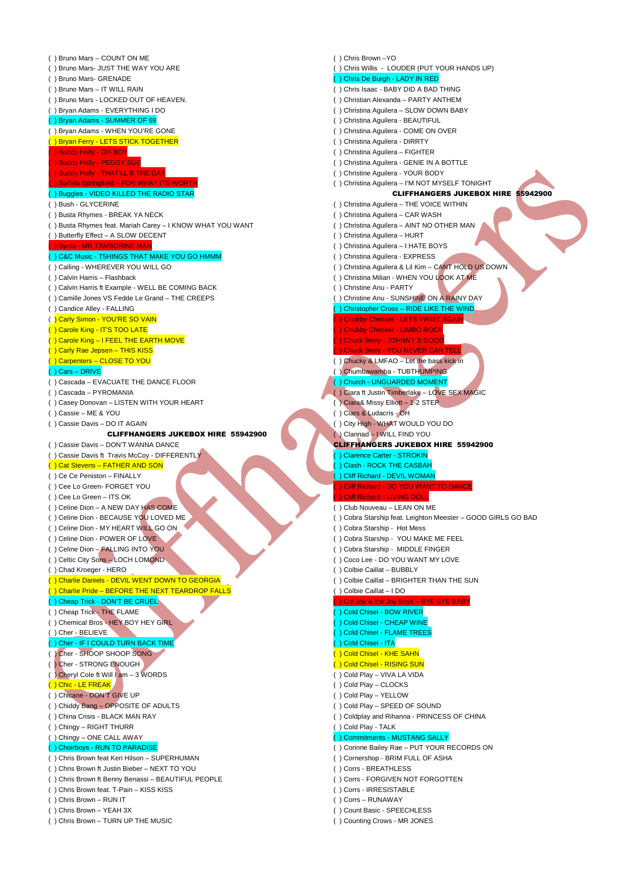( ) Bruno Mars – COUNT ON ME ( ) Bruno Mars- JUST THE WAY YOU ARE ( ) Bruno Mars- GRENADE ( ) Bruno Mars – IT WILL RAIN ( ) Bruno Mars - LOCKED OUT OF HEAVEN. ( ) Bryan Adams - EVERYTHING I DO ( ) Bryan Adams - SUMMER OF 69 ( ) Bryan Adams - WHEN YOU'RE GONE <mark>() Bryan Ferry - LETS STICK TOGETHER</mark> ( ) Buddy Holly - OH BOY ( ) Buddy Holly - PEGGY SUE ( ) Buddy Holly - THAT'LL B THE DAY ( ) Buffalo Springfield – FOR WHAT ITS WORTH ( ) Buggles - VIDEO KILLED THE RADIO STAR ( ) Bush - GLYCERINE ( ) Busta Rhymes - BREAK YA NECK ( ) Busta Rhymes feat. Mariah Carey – I KNOW WHAT YOU WANT ( ) Butterfly Effect – A SLOW DECENT ( ) Byrds - MR TAMBORINE MAN ( ) C&C Music - T5HINGS THAT MAKE YOU GO HMMM ( ) Calling - WHEREVER YOU WILL GO ( ) Calvin Harris – Flashback ( ) Calvin Harris ft Example - WELL BE COMING BACK ( ) Camille Jones VS Fedde Le Grand – THE CREEPS ( ) Candice Alley - FALLING ( ) Carly Simon - YOU'RE SO VAIN ( ) Carole King - IT'S TOO LATE ( ) Carole King – I FEEL THE EARTH MOVE ( ) Carly Rae Jepsen – THIS KISS ( ) Carpenters – CLOSE TO YOU ( ) Cars – DRIVE ( ) Cascada – EVACUATE THE DANCE FLOOR ( ) Cascada – PYROMANIA ( ) Casey Donovan – LISTEN WITH YOUR HEART ( ) Cassie – ME & YOU ( ) Cassie Davis – DO IT AGAIN CLIFFHANGERS JUKEBOX HIRE 55942900 ( ) Cassie Davis – DON'T WANNA DANCE ( ) Cassie Davis ft Travis McCoy - DIFFERENTLY ( ) Cat Stevens – FATHER AND SON ( ) Ce Ce Peniston – FINALLY ( ) Cee Lo Green- FORGET YOU ( ) Cee Lo Green – ITS OK ( ) Celine Dion – A NEW DAY HAS COME ( ) Celine Dion - BECAUSE YOU LOVED ME ( ) Celine Dion - MY HEART WILL GO ON ( ) Celine Dion - POWER OF LOVE ( ) Celine Dion – FALLING INTO YOU ( ) Celtic City Sons – LOCH LOMOND ( ) Chad Kroeger - HERO ( ) Charlie Daniels - DEVIL WENT DOWN TO GEORGIA ( ) Charlie Pride – BEFORE THE NEXT TEARDROP FALLS ( ) Cheap Trick - DON'T BE CRUEL ( ) Cheap Trick - THE FLAME ( ) Chemical Bros - HEY BOY HEY GIRL ( ) Cher - BELIEVE ( ) Cher - IF I COULD TURN BACK TIME ( ) Cher - SHOOP SHOOP SONG ( ) Cher - STRONG ENOUGH ( ) Cheryl Cole ft Will I am – 3 WORDS ( ) Chic - LE FREAK ( ) Chicane - DON'T GIVE UP ( ) Chiddy Bang – OPPOSITE OF ADULTS ( ) China Crisis - BLACK MAN RAY ( ) Chingy – RIGHT THURR ( ) Chingy – ONE CALL AWAY ( ) Choirboys - RUN TO PARADISE ( ) Chris Brown feat Keri Hilson – SUPERHUMAN ( ) Chris Brown ft Justin Bieber – NEXT TO YOU ( ) Chris Brown ft Benny Benassi – BEAUTIFUL PEOPLE ( ) Chris Brown feat. T-Pain – KISS KISS ( ) Chris Brown – RUN IT ( ) Chris Brown – YEAH 3X ( ) Chris Brown – TURN UP THE MUSIC

( ) Chris Brown –YO ( ) Chris Willis - LOUDER (PUT YOUR HANDS UP) ( ) Chris De Burgh - LADY IN RED ( ) Chris Isaac - BABY DID A BAD THING ( ) Christian Alexanda – PARTY ANTHEM ( ) Christina Aguilera – SLOW DOWN BABY ( ) Christina Aguilera - BEAUTIFUL ( ) Christina Aguilera - COME ON OVER ( ) Christina Aguilera - DIRRTY ( ) Christina Aguilera – FIGHTER ( ) Christina Aguilera - GENIE IN A BOTTLE ( ) Christine Aguilera - YOUR BODY ( ) Christina Aguilera – I'M NOT MYSELF TONIGHT CLIFFHANGERS JUKEBOX HIRE 55942900 ( ) Christina Aguilera – THE VOICE WITHIN ( ) Christina Aguilera – CAR WASH ( ) Christina Aguilera – AINT NO OTHER MAN ( ) Christina Aguilera – HURT ( ) Christina Aguilera – I HATE BOYS ( ) Christina Aguilera - EXPRESS ( ) Christina Aguilera & Lil Kim – CANT HOLD US DOWN ( ) Christina Milian - WHEN YOU LOOK AT ME ( ) Christine Anu - PARTY ( ) Christine Anu - SUNSHINE ON A RAINY DAY ( ) Christopher Cross – RIDE LIKE THE WIND ( ) Chubby Checker - LETS TWIST AGAIN ( ) Chubby Checker - LIMBO ROCK ( ) Chuck Berry - JOHNNY B GOOD ( ) Chuck Berry - YOU NEVER CAN TELL ( ) Chucky & LMFAO – Let the bass kick in ( ) Chumbawamba - TUBTHUMPING ( ) Church - UNGUARDED MOMENT ( ) Ciara ft Justin Timberlake – LOVE SEX MAGIC ( ) Ciara& Missy Elliott – 1-2 STEP ( ) Ciars & Ludacris - OH ( ) City High - WHAT WOULD YOU DO ( ) Clannad – I WILL FIND YOU CLIFFHANGERS JUKEBOX HIRE 55942900 ( ) Clarence Carter - STROKIN ( ) Clash - ROCK THE CASBAH ( ) Cliff Richard - DEVIL WOMAN ( ) Cliff Richard - DO YOU WANT TO D ( ) Cliff Richard - LIVING DOLL ( ) Club Nouveau – LEAN ON ME ( ) Cobra Starship feat. Leighton Meester – GOOD GIRLS GO BAD ( ) Cobra Starship - Hot Mess ( ) Cobra Starship - YOU MAKE ME FEEL ( ) Cobra Starship - MIDDLE FINGER ( ) Coco Lee - DO YOU WANT MY LOVE ( ) Colbie Caillat – BUBBLY ( ) Colbie Caillat – BRIGHTER THAN THE SUN ( ) Colbie Caillat – I DO ( ) Col Joy & the Joy Boys – BYE BYE BABY ( ) Cold Chisel - BOW RIVER ( ) Cold Chisel - CHEAP WINE ( ) Cold Chisel - FLAME TREES ( ) Cold Chisel - ITA ( ) Cold Chisel - KHE SAHN ( ) Cold Chisel - RISING SUN ( ) Cold Play – VIVA LA VIDA ( ) Cold Play – CLOCKS ( ) Cold Play – YELLOW ( ) Cold Play – SPEED OF SOUND ( ) Coldplay and Rihanna - PRINCESS OF CHINA ( ) Cold Play - TALK - MUSTANG SALLY ( ) Corinne Bailey Rae – PUT YOUR RECORDS ON ( ) Cornershop - BRIM FULL OF ASHA ( ) Corrs - BREATHLESS ( ) Corrs - FORGIVEN NOT FORGOTTEN ( ) Corrs - IRRESISTABLE

- 
- ( ) Corrs RUNAWAY
- ( ) Count Basic SPEECHLESS
- ( ) Counting Crows MR JONES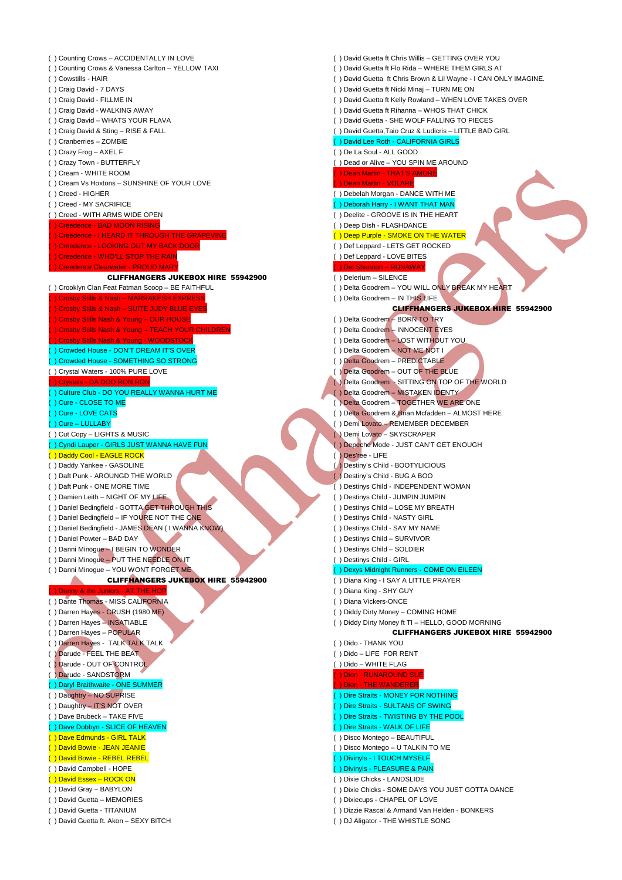( ) Counting Crows – ACCIDENTALLY IN LOVE ( ) Counting Crows & Vanessa Carlton – YELLOW TAXI ( ) Cowstills - HAIR ( ) Craig David - 7 DAYS ( ) Craig David - FILLME IN ( ) Craig David - WALKING AWAY ( ) Craig David – WHATS YOUR FLAVA ( ) Craig David & Sting – RISE & FALL ( ) Cranberries – ZOMBIE ( ) Crazy Frog – AXEL F ( ) Crazy Town - BUTTERFLY ( ) Cream - WHITE ROOM ( ) Cream Vs Hoxtons – SUNSHINE OF YOUR LOVE ( ) Creed - HIGHER ( ) Creed - MY SACRIFICE ( ) Creed - WITH ARMS WIDE OPEN ( ) Creedence - BAD MOON RISING ( ) Creedence - I HEARD IT THROUGH THE GRAPEVIN **Creedence - LOOKING OUT MY BACK DOOR** ( ) Creedence - WHO'LL STOP THE RAIN nce Clearwater - PROUD MAR<sup>T</sup> CLIFFHANGERS JUKEBOX HIRE 55942900 ( ) Crooklyn Clan Feat Fatman Scoop – BE FAITHFUL ) Crosby Stills & Nash – MARRAKESH EXPRES ) Crosby Stills & Nash – SUITE JUDY BLUE E ( ) Crosby Stills Nash & Young – OUR HOUSE ( ) Crosby Stills Nash & Young – TEACH YOUR CHILD **Stills Nash & Young - WOODSTOCK** ( ) Crowded House - DON'T DREAM IT'S OVER ( ) Crowded House - SOMETHING SO STRONG ( ) Crystal Waters - 100% PURE LOVE ( ) Crystals - DA DOO RON RON ( ) Culture Club - DO YOU REALLY WANNA HURT ME ( ) Cure - CLOSE TO ME ( ) Cure - LOVE CATS ( ) Cure – LULLABY ( ) Cut Copy – LIGHTS & MUSIC ( ) Cyndi Lauper - GIRLS JUST WANNA HAVE FUN ( ) Daddy Cool - EAGLE ROCK ( ) Daddy Yankee - GASOLINE ( ) Daft Punk - AROUNGD THE WORLD ( ) Daft Punk - ONE MORE TIME ( ) Damien Leith - NIGHT OF MY LIFE ( ) Daniel Bedingfield - GOTTA GET THROUGH THIS ( ) Daniel Bedingfield – IF YOURE NOT THE ONE ( ) Daniel Bedingfield - JAMES DEAN ( I WANNA KNOW) ( ) Daniel Powter – BAD DAY ( ) Danni Minogue – I BEGIN TO WONDER ( ) Danni Minogue – PUT THE NEEDLE ON IT ( ) Danni Minogue – YOU WONT FORGET ME CLIFFHANGERS JUKEBOX HIRE 55942900 ( ) Danny & the Juniors - AT THE HOP ( ) Dante Thomas - MISS CALIFORNIA ( ) Darren Hayes - CRUSH (1980 ME) ( ) Darren Hayes – INSATIABLE ( ) Darren Hayes – POPULAR ( ) Darren Hayes - TALK TALK TALK ( ) Darude - FEEL THE BEAT ( ) Darude - OUT OF CONTROL ( ) Darude - SANDSTORM ( ) Daryl Braithwaite - ONE SUMMER ( ) Daughtry – NO SUPRISE ( ) Daughtry – IT'S NOT OVER ( ) Dave Brubeck – TAKE FIVE ( ) Dave Dobbyn - SLICE OF HEAVEN ( ) Dave Edmunds - GIRL TALK ( ) David Bowie - JEAN JEANIE ( ) David Bowie - REBEL REBEL ( ) David Campbell - HOPE ( ) David Essex – ROCK ON ( ) David Gray – BABYLON ( ) David Guetta – MEMORIES ( ) David Guetta - TITANIUM

( ) David Guetta ft. Akon – SEXY BITCH

( ) David Guetta ft Chris Willis – GETTING OVER YOU ( ) David Guetta ft Flo Rida – WHERE THEM GIRLS AT ( ) David Guetta ft Chris Brown & Lil Wayne - I CAN ONLY IMAGINE. ( ) David Guetta ft Nicki Minaj – TURN ME ON ( ) David Guetta ft Kelly Rowland – WHEN LOVE TAKES OVER ( ) David Guetta ft Rihanna – WHOS THAT CHICK ( ) David Guetta - SHE WOLF FALLING TO PIECES ( ) David Guetta,Taio Cruz & Ludicris – LITTLE BAD GIRL ( ) David Lee Roth - CALIFORNIA GIRLS ( ) De La Soul - ALL GOOD ( ) Dead or Alive – YOU SPIN ME AROUND ( ) Dean Martin - THAT'S AMORE ( VOLARE ( ) Debelah Morgan - DANCE WITH ME ( ) Deborah Harry - I WANT THAT MAN ( ) Deelite - GROOVE IS IN THE HEART ( ) Deep Dish - FLASHDANCE ( ) Deep Purple - SMOKE ON THE WATER ( ) Def Leppard - LETS GET ROCKED ( ) Def Leppard - LOVE BITES el Shannon ( ) Delerium – SILENCE ( ) Delta Goodrem – YOU WILL ONLY BREAK MY HEART ( ) Delta Goodrem – IN THIS LIFE CLIFFHANGERS JUKEBOX HIRE 55942900 ( ) Delta Goodrem – BORN TO TRY ( ) Delta Goodrem – INNOCENT EYES ( ) Delta Goodrem – LOST WITHOUT YOU ( ) Delta Goodrem – NOT ME NOT I ( ) Delta Goodrem – PREDICTABLE ( ) Delta Goodrem – OUT OF THE BLUE ( ) Delta Goodrem - SITTING ON TOP OF THE WORLD ( ) Delta Goodrem – MISTAKEN IDENTY ( ) Delta Goodrem – TOGETHER WE ARE ONE ( ) Delta Goodrem & Brian Mcfadden – ALMOST HERE ( ) Demi Lovato – REMEMBER DECEMBER ( ) Demi Lovato – SKYSCRAPER ( ) Depeche Mode - JUST CAN'T GET ENOUGH ( ) Des'ree - LIFE ( ) Destiny's Child - BOOTYLICIOUS ( ) Destiny's Child - BUG A BOO ( ) Destinys Child - INDEPENDENT WOMAN ( ) Destinys Child - JUMPIN JUMPIN ( ) Destinys Child – LOSE MY BREATH ( ) Destinys Child - NASTY GIRL ( ) Destinys Child - SAY MY NAME ( ) Destinys Child – SURVIVOR ( ) Destinys Child – SOLDIER ( ) Destinys Child - GIRL ( ) Dexys Midnight Runners - COME ON EILEEN ( ) Diana King - I SAY A LITTLE PRAYER ( ) Diana King - SHY GUY ( ) Diana Vickers-ONCE ( ) Diddy Dirty Money – COMING HOME ( ) Diddy Dirty Money ft TI – HELLO, GOOD MORNING CLIFFHANGERS JUKEBOX HIRE 55942900 ( ) Dido - THANK YOU ( ) Dido – LIFE FOR RENT ( ) Dido – WHITE FLAG ( ) Dion - RUNAROUND SUE THE WANDERER ( ) Dire Straits - MONEY FOR NOTHING ( ) Dire Straits - SULTANS OF SWING ( ) Dire Straits - TWISTING BY THE POOL ( ) Dire Straits - WALK OF LIFE ( ) Disco Montego – BEAUTIFUL ( ) Disco Montego – U TALKIN TO ME ( ) Divinyls - I TOUCH MYSELF ( ) Divinyls - PLEASURE & PAIN ( ) Dixie Chicks - LANDSLIDE ( ) Dixie Chicks - SOME DAYS YOU JUST GOTTA DANCE ( ) Dixiecups - CHAPEL OF LOVE ( ) Dizzie Rascal & Armand Van Helden - BONKERS

( ) DJ Aligator - THE WHISTLE SONG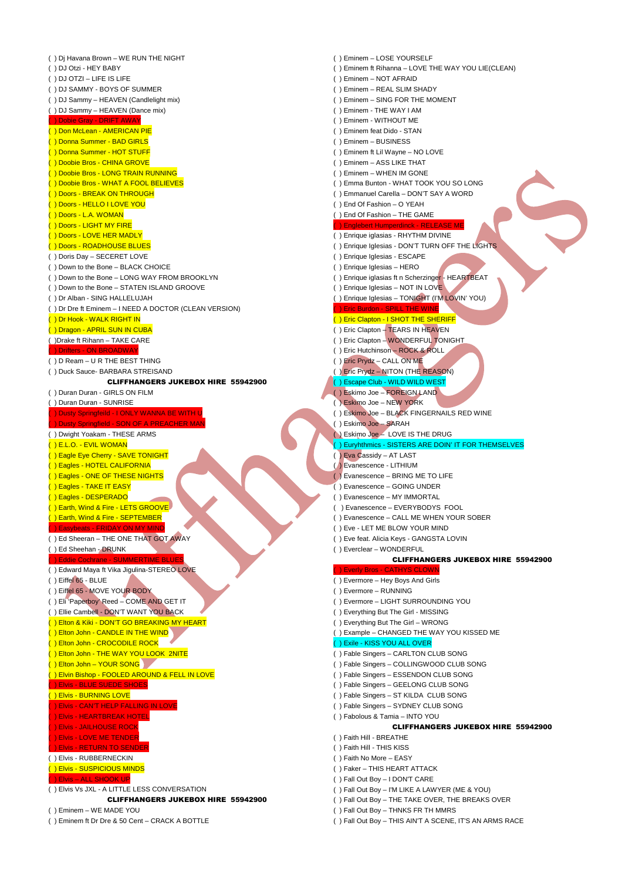| () Di Havana Brown - WE RUN THE NIGHT                           | () Eminem - LOSE YOURSELF                                    |
|-----------------------------------------------------------------|--------------------------------------------------------------|
| () DJ Otzi - HEY BABY                                           | () Eminem ft Rihanna - LOVE THE WAY YOU LIE(CLEAN)           |
| () DJ OTZI - LIFE IS LIFE                                       | () Eminem - NOT AFRAID                                       |
| () DJ SAMMY - BOYS OF SUMMER                                    | () Eminem - REAL SLIM SHADY                                  |
| () DJ Sammy - HEAVEN (Candlelight mix)                          | () Eminem - SING FOR THE MOMENT                              |
| () DJ Sammy - HEAVEN (Dance mix)                                | () Eminem - THE WAY I AM                                     |
| ) Dobie Gray - DRIFT AWAY                                       | () Eminem - WITHOUT ME                                       |
| () Don McLean - AMERICAN PIE                                    | () Eminem feat Dido - STAN                                   |
| ) Donna Summer - BAD GIRLS                                      | () Eminem - BUSINESS                                         |
| ) Donna Summer - HOT STUFF                                      | () Eminem ft Lil Wayne - NO LOVE                             |
| ) Doobie Bros - CHINA GROVE                                     | () Eminem - ASS LIKE THAT                                    |
| Doobie Bros - LONG TRAIN RUNNING                                | () Eminem - WHEN IM GONE                                     |
| ) Doobie Bros - WHAT A FOOL BELIEVES                            | () Emma Bunton - WHAT TOOK YOU SO LONG                       |
| ) Doors - BREAK ON THROUGH                                      | () Emmanuel Carella - DON'T SAY A WORD                       |
| Doors - HELLO I LOVE YOU                                        | () End Of Fashion - O YEAH                                   |
| Doors - L.A. WOMAN                                              | () End Of Fashion - THE GAME                                 |
| Doors - LIGHT MY FIRE                                           | () Englebert Humperdinck - RELEASE ME                        |
| () Doors - LOVE HER MADLY                                       | () Enrique iglasias - RHYTHM DIVINE                          |
| () Doors - ROADHOUSE BLUES                                      | () Enrique Iglesias - DON'T TURN OFF THE LIGHTS              |
| () Doris Day - SECERET LOVE                                     | () Enrique Iglesias - ESCAPE                                 |
| () Down to the Bone - BLACK CHOICE                              | () Enrique Iglesias - HERO                                   |
| () Down to the Bone - LONG WAY FROM BROOKLYN                    | () Enrique iglasias ft n Scherzinger - HEARTBEAT             |
| () Down to the Bone - STATEN ISLAND GROOVE                      | () Enrique Iglesias - NOT IN LOVE                            |
| () Dr Alban - SING HALLELUJAH                                   | () Enrique Iglesias - TONIGHT (I'M LOVIN' YOU)               |
| () Dr Dre ft Eminem - I NEED A DOCTOR (CLEAN VERSION)           | <b>) Eric Burdon - SPILL THE WINE</b>                        |
| () Dr Hook - WALK RIGHT IN                                      | () Eric Clapton - I SHOT THE SHERIFF                         |
| () Dragon - APRIL SUN IN CUBA                                   | () Eric Clapton - TEARS IN HEAVEN                            |
| () Drake ft Rihann - TAKE CARE                                  | () Eric Clapton - WONDERFUL TONIGHT                          |
| ) Drifters - ON BROADWAY                                        | () Eric Hutchinson - ROCK & ROLL                             |
| () D Ream - U R THE BEST THING                                  | () Eric Prydz - CALL ON ME                                   |
| () Duck Sauce- BARBARA STREISAND                                | () Eric Prydz - NITON (THE REASON)                           |
| <b>CLIFFHANGERS JUKEBOX HIRE 55942900</b>                       | () Escape Club - WILD WILD WEST                              |
| () Duran Duran - GIRLS ON FILM                                  | () Eskimo Joe - FOREIGN LAND                                 |
| () Duran Duran - SUNRISE                                        | () Eskimo Joe - NEW YORK                                     |
| ) Dusty Springfeild - I ONLY WANNA BE WITH U                    | () Eskimo Joe - BLACK FINGERNAILS RED WINE                   |
| ) Dusty Springfield - SON OF A PREACHER MAN                     | () Eskimo Joe - SARAH                                        |
|                                                                 |                                                              |
|                                                                 |                                                              |
| () Dwight Yoakam - THESE ARMS                                   | () Eskimo Joe - LOVE IS THE DRUG                             |
| ( ) E.L.O. - EVIL WOMAN                                         | () Euryhthmics - SISTERS ARE DOIN' IT FOR THEMSELV           |
| () Eagle Eye Cherry - SAVE TONIGHT                              | () Eva Cassidy - AT LAST                                     |
| () Eagles - HOTEL CALIFORNIA<br>() Eagles - ONE OF THESE NIGHTS | ( Evanescence - LITHIUM<br>() Evanescence - BRING ME TO LIFE |
|                                                                 |                                                              |
| () Eagles - TAKE IT EASY                                        | () Evanescence - GOING UNDER<br>() Evanescence - MY IMMORTAL |
| () Eagles - DESPERADO<br>() Earth, Wind & Fire - LETS GROOVE    | () Evanescence - EVERYBODYS FOOL                             |
| () Earth, Wind & Fire - SEPTEMBER                               | () Evanescence - CALL ME WHEN YOUR SOBER                     |
| ) Easybeats - FRIDAY ON MY MIND                                 | () Eve - LET ME BLOW YOUR MIND                               |
| () Ed Sheeran - THE ONE THAT GOT AWAY                           | () Eve feat. Alicia Keys - GANGSTA LOVIN                     |
| () Ed Sheehan - DRUNK                                           | () Everclear - WONDERFUL                                     |
| <b>) Eddie Cochrane - SUMMERTIME BLUES</b>                      | <b>CLIFFHANGERS JUKEBOX HIRE</b>                             |
| () Edward Maya ft Vika Jigulina-STEREO LOVE                     | <b>DEverly Bros - CATHYS CLOWN</b>                           |
| $( )$ Eiffel $65 - BLUE$                                        | () Evermore - Hey Boys And Girls                             |
| () Eiffel 65 - MOVE YOUR BODY                                   | () Evermore - RUNNING                                        |
| () Eli 'Paperboy' Reed - COME AND GET IT                        | () Evermore - LIGHT SURROUNDING YOU                          |
| () Ellie Cambell - DON'T WANT YOU BACK                          | () Everything But The Girl - MISSING                         |
| () Elton & Kiki - DON'T GO BREAKING MY HEART                    | () Everything But The Girl - WRONG                           |
| () Elton John - CANDLE IN THE WIND                              | () Example - CHANGED THE WAY YOU KISSED ME                   |
| () Elton John - CROCODILE ROCK                                  | () Exile - KISS YOU ALL OVER                                 |
| () Elton John - THE WAY YOU LOOK 2NITE                          | () Fable Singers - CARLTON CLUB SONG                         |
| () Elton John - YOUR SONG                                       | () Fable Singers - COLLINGWOOD CLUB SONG                     |
| () Elvin Bishop - FOOLED AROUND & FELL IN LOVE                  | () Fable Singers - ESSENDON CLUB SONG                        |
| <b>) Elvis - BLUE SUEDE SHOES</b>                               | () Fable Singers - GEELONG CLUB SONG                         |
| () Elvis - BURNING LOVE                                         | () Fable Singers - ST KILDA CLUB SONG                        |
| ) Elvis - CAN'T HELP FALLING IN LOVE                            | () Fable Singers - SYDNEY CLUB SONG                          |
| <b>) Elvis - HEARTBREAK HOTEL</b>                               | () Fabolous & Tamia - INTO YOU                               |
| <b>) Elvis - JAILHOUSE ROCK</b>                                 | <b>CLIFFHANGERS JUKEBOX HIRE</b>                             |
| ) Elvis - LOVE ME TENDER                                        | ( ) Faith Hill - BREATHE                                     |
| <b>) Elvis - RETURN TO SENDER</b>                               | () Faith Hill - THIS KISS                                    |
| () Elvis - RUBBERNECKIN                                         | () Faith No More - EASY                                      |
| () Elvis - SUSPICIOUS MINDS                                     | () Faker – THIS HEART ATTACK                                 |
| ) Elvis - ALL SHOOK UP                                          | () Fall Out Boy - I DON'T CARE                               |
| () Elvis Vs JXL - A LITTLE LESS CONVERSATION                    | () Fall Out Boy - I'M LIKE A LAWYER (ME & YOU)               |
| <b>CLIFFHANGERS JUKEBOX HIRE 55942900</b>                       | () Fall Out Boy - THE TAKE OVER, THE BREAKS OVER             |

( ) Eminem ft Dr Dre & 50 Cent – CRACK A BOTTLE

### (inem – NOT AFRAID inem – REAL SLIM SHADY inem – SING FOR THE MOMENT  $\overline{\text{ n}}$  Eminem - THE WAY I AM inem - WITHOUT ME ninem feat Dido - STAN ninem – BUSINESS inem ft Lil Wayne – NO LOVE inem – ASS LIKE THAT inem – WHEN IM GONE (ma Bunton - WHAT TOOK YOU SO LONG manuel Carella – DON'T SAY A WORD  $d$  Of Fashion – O YEAH d Of Fashion – THE GAME glebert Humperdinck - RELEASI rique iglasias - RHYTHM DIVINE rique Iglesias - DON'T TURN OFF THE LIGHTS rique Iglesias - ESCAPE rique Iglesias – HERO rique iglasias ft n Scherzinger - HEARTBEAT  $r$ ique Iglesias – NOT IN LOVE rique Iglesias – TONIGHT (I'M LOVIN' YOU) Burdon - SPILL THE WINE c Clapton - I SHOT THE SHERIFF ( ) Eric Clapton – TEARS IN HEAVEN () Eric Clapton – WONDERFUL TONIGHT c Hutchinson – ROCK & ROLL c Prydz – CALL ON ME c Prydz – NITON (THE REASON) ( ) Escape Club - WILD WILD WEST ( ) Eskimo Joe – FOREIGN LAND kimo Joe – NEW YORK kimo Joe – BLACK FINGERNAILS RED WINE kimo Joe – SARAH kimo Joe – LOVE IS THE DRUG hthmics - SISTERS ARE DOIN' IT FOR THEMSELVES a Cassidy – AT LAST anescence - LITHIUM anescence – BRING ME TO LIFE anescence – GOING UNDER anescence – MY IMMORTAL vanescence – EVERYBODYS FOOL anescence – CALL ME WHEN YOUR SOBER e - LET ME BLOW YOUR MIND e feat. Alicia Keys - GANGSTA LOVIN erclear – WONDERFUL CLIFFHANGERS JUKEBOX HIRE 55942900 rly Bros - CATHYS CLOW ermore – Hey Boys And Girls ermore – RUNNING ermore – LIGHT SURROUNDING YOU erything But The Girl - MISSING erything But The Girl – WRONG ample – CHANGED THE WAY YOU KISSED ME le - KISS YOU ALL OVER ble Singers – CARLTON CLUB SONG ble Singers – COLLINGWOOD CLUB SONG ble Singers – ESSENDON CLUB SONG ble Singers – GEELONG CLUB SONG ble Singers – ST KILDA CLUB SONG ble Singers – SYDNEY CLUB SONG bolous & Tamia – INTO YOU CLIFFHANGERS JUKEBOX HIRE 55942900 ith Hill - BREATHE ith Hill - THIS KISS ith No More – EASY ker – THIS HEART ATTACK II Out Boy – I DON'T CARE II Out Boy – I'M LIKE A LAWYER (ME & YOU) II Out Boy – THE TAKE OVER, THE BREAKS OVER

- (I Out Boy THNKS FR TH MMRS
- 
- ( ) Fall Out Boy THIS AIN'T A SCENE, IT'S AN ARMS RACE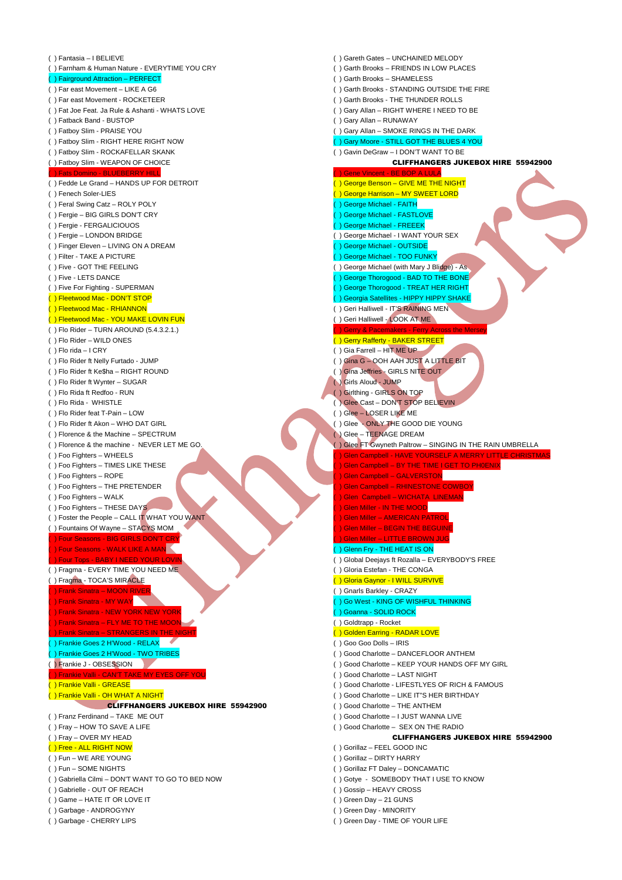| () Fantasia - I BELIEVE                                          | () Gareth Gates - UNCHAINED MELODY                                                            |
|------------------------------------------------------------------|-----------------------------------------------------------------------------------------------|
| () Farnham & Human Nature - EVERYTIME YOU CRY                    | () Garth Brooks - FRIENDS IN LOW PLACES                                                       |
| () Fairground Attraction - PERFECT                               | () Garth Brooks - SHAMELESS                                                                   |
| () Far east Movement - LIKE A G6                                 | () Garth Brooks - STANDING OUTSIDE THE FIRE                                                   |
| () Far east Movement - ROCKETEER                                 | () Garth Brooks - THE THUNDER ROLLS                                                           |
| () Fat Joe Feat. Ja Rule & Ashanti - WHATS LOVE                  | () Gary Allan - RIGHT WHERE I NEED TO BE                                                      |
| () Fatback Band - BUSTOP                                         | () Gary Allan - RUNAWAY                                                                       |
| () Fatboy Slim - PRAISE YOU                                      | () Gary Allan - SMOKE RINGS IN THE DARK                                                       |
| () Fatboy Slim - RIGHT HERE RIGHT NOW                            | () Gary Moore - STILL GOT THE BLUES 4 YOU                                                     |
| () Fatboy Slim - ROCKAFELLAR SKANK                               | () Gavin DeGraw - I DON'T WANT TO BE                                                          |
| () Fatboy Slim - WEAPON OF CHOICE                                | <b>CLIFFHANGERS JUKEBOX HIRE 55942900</b>                                                     |
| () Fats Domino - BLUEBERRY HILL                                  | ) Gene Vincent - BE BOP A LULA                                                                |
| () Fedde Le Grand - HANDS UP FOR DETROIT                         | () George Benson - GIVE ME THE NIGHT                                                          |
| () Fenech Soler-LIES                                             | () George Harrison - MY SWEET LORD                                                            |
| () Feral Swing Catz - ROLY POLY                                  | Ceorge Michael - FAITH                                                                        |
| () Fergie – BIG GIRLS DON'T CRY                                  | ) George Michael - FASTLOVE                                                                   |
| () Fergie - FERGALICIOUOS                                        | () George Michael - FREEEK                                                                    |
| () Fergie - LONDON BRIDGE                                        | () George Michael - I WANT YOUR SEX                                                           |
| () Finger Eleven - LIVING ON A DREAM                             | Seorge Michael - OUTSIDE                                                                      |
| () Filter - TAKE A PICTURE                                       | () George Michael - TOO FUNKY                                                                 |
| () Five - GOT THE FEELING                                        | () George Michael (with Mary J Blidge) - As                                                   |
| () Five - LETS DANCE                                             | Seorge Thorogood - BAD TO THE BONE<br>() George Thorogood - TREAT HER RIGHT                   |
| () Five For Fighting - SUPERMAN<br>() Fleetwood Mac - DON'T STOP | () Georgia Satellites - HIPPY HIPPY SHAKE                                                     |
| () Fleetwood Mac - RHIANNON                                      | () Geri Halliwell - IT'S RAINING MEN                                                          |
| () Fleetwood Mac - YOU MAKE LOVIN FUN                            | () Geri Halliwell - LOOK AT ME                                                                |
| $( )$ Flo Rider - TURN AROUND $(5.4.3.2.1.)$                     | ) Gerry & Pacemakers - Ferry Across the Mersey                                                |
| () Flo Rider - WILD ONES                                         | ( ) Gerry Rafferty - BAKER STREET                                                             |
| $( )$ Flo rida - I CRY                                           | () Gia Farrell - HIT ME UP                                                                    |
| () Flo Rider ft Nelly Furtado - JUMP                             | () Gina G - OOH AAH JUST A LITTLE BIT                                                         |
| () Flo Rider ft Ke\$ha - RIGHT ROUND                             | () Gina Jeffries - GIRLS NITE OUT                                                             |
| () Flo Rider ft Wynter - SUGAR                                   | ( ) Girls Aloud - JUMP                                                                        |
| () Flo Rida ft Redfoo - RUN                                      | () Girlthing - GIRLS ON TOP                                                                   |
| () Flo Rida - WHISTLE                                            | () Glee Cast - DON'T STOP BELIEVIN                                                            |
| () Flo Rider feat T-Pain - LOW                                   | () Glee - LOSER LIKE ME                                                                       |
| () Flo Rider ft Akon - WHO DAT GIRL                              | () Glee - ONLY THE GOOD DIE YOUNG                                                             |
| () Florence & the Machine - SPECTRUM                             | $()$ Glee - TEENAGE DREAM                                                                     |
| () Florence & the machine - NEVER LET ME GO.                     | () Glee FT Gwyneth Paltrow - SINGING IN THE RAIN UMBRELLA                                     |
| () Foo Fighters - WHEELS                                         | ) Glen Campbell - HAVE YOURSELF A MERRY LITTLE CHRISTMAS                                      |
| () Foo Fighters - TIMES LIKE THESE                               | Glen Campbell - BY THE TIME I GET TO PHOENIX                                                  |
| () Foo Fighters - ROPE                                           | ) Glen Campbell - GALVERSTON                                                                  |
| () Foo Fighters - THE PRETENDER                                  | <b>Glen Campbell - RHINESTONE COWBOY</b>                                                      |
|                                                                  |                                                                                               |
| () Foo Fighters - WALK                                           | <b>Glen Campbell - WICHATA LINEMAN</b>                                                        |
| () Foo Fighters - THESE DAYS                                     | <b>Glen Miller - IN THE MOOD</b>                                                              |
| () Foster the People - CALL IT WHAT YOU WANT                     | ) Glen Miller - AMERICAN PATROL                                                               |
| () Fountains Of Wayne - STACYS MOM                               | ) Glen Miller - BEGIN THE BEGUINE                                                             |
| ) Four Seasons - BIG GIRLS DON'T CRY                             | ) Glen Miller - LITTLE BROWN JUG                                                              |
| ) Four Seasons - WALK LIKE A MAN                                 | () Glenn Fry - THE HEAT IS ON                                                                 |
| () Four Tops - BABY I NEED YOUR LOVIN                            | () Global Deejays ft Rozalla - EVERYBODY'S FREE                                               |
| () Fragma - EVERY TIME YOU NEED ME                               | () Gloria Estefan - THE CONGA                                                                 |
| () Fragma - TOCA'S MIRACLE                                       | ( ) Gloria Gaynor - I WILL SURVIVE                                                            |
| ) Frank Sinatra - MOON RIVER                                     | () Gnarls Barkley - CRAZY                                                                     |
| ) Frank Sinatra - MY WAY                                         | () Go West - KING OF WISHFUL THINKING                                                         |
| ) Frank Sinatra - NEW YORK NEW YORK                              | () Goanna - SOLID ROCK                                                                        |
| ) Frank Sinatra - FLY ME TO THE MOON                             | () Goldtrapp - Rocket                                                                         |
| ) Frank Sinatra - STRANGERS IN THE NIGHT                         | () Golden Earring - RADAR LOVE                                                                |
| () Frankie Goes 2 H'Wood - RELAX                                 | () Goo Goo Dolls - IRIS                                                                       |
| () Frankie Goes 2 H'Wood - TWO TRIBES                            | () Good Charlotte - DANCEFLOOR ANTHEM                                                         |
| () Frankie J - OBSESSION                                         | () Good Charlotte - KEEP YOUR HANDS OFF MY GIRL                                               |
| () Frankie Valli - CAN'T TAKE MY EYES OFF YOU                    | () Good Charlotte - LAST NIGHT                                                                |
| () Frankie Valli - GREASE<br>() Frankie Valli - OH WHAT A NIGHT  | () Good Charlotte - LIFESTLYES OF RICH & FAMOUS<br>() Good Charlotte - LIKE IT"S HER BIRTHDAY |
| <b>CLIFFHANGERS JUKEBOX HIRE 55942900</b>                        | () Good Charlotte - THE ANTHEM                                                                |
| () Franz Ferdinand - TAKE ME OUT                                 | () Good Charlotte - I JUST WANNA LIVE                                                         |
| () Fray - HOW TO SAVE A LIFE                                     | () Good Charlotte - SEX ON THE RADIO                                                          |
| () Fray - OVER MY HEAD                                           | <b>CLIFFHANGERS JUKEBOX HIRE 55942900</b>                                                     |
| () Free - ALL RIGHT NOW                                          | () Gorillaz - FEEL GOOD INC                                                                   |
| () Fun - WE ARE YOUNG                                            | () Gorillaz - DIRTY HARRY                                                                     |
| () Fun - SOME NIGHTS                                             | () Gorillaz FT Daley - DONCAMATIC                                                             |
| () Gabriella Cilmi - DON'T WANT TO GO TO BED NOW                 | () Gotye - SOMEBODY THAT I USE TO KNOW                                                        |
| () Gabrielle - OUT OF REACH                                      | () Gossip - HEAVY CROSS                                                                       |
| () Game - HATE IT OR LOVE IT                                     | () Green Day - 21 GUNS                                                                        |
| () Garbage - ANDROGYNY                                           | () Green Day - MINORITY<br>() Green Day - TIME OF YOUR LIFE                                   |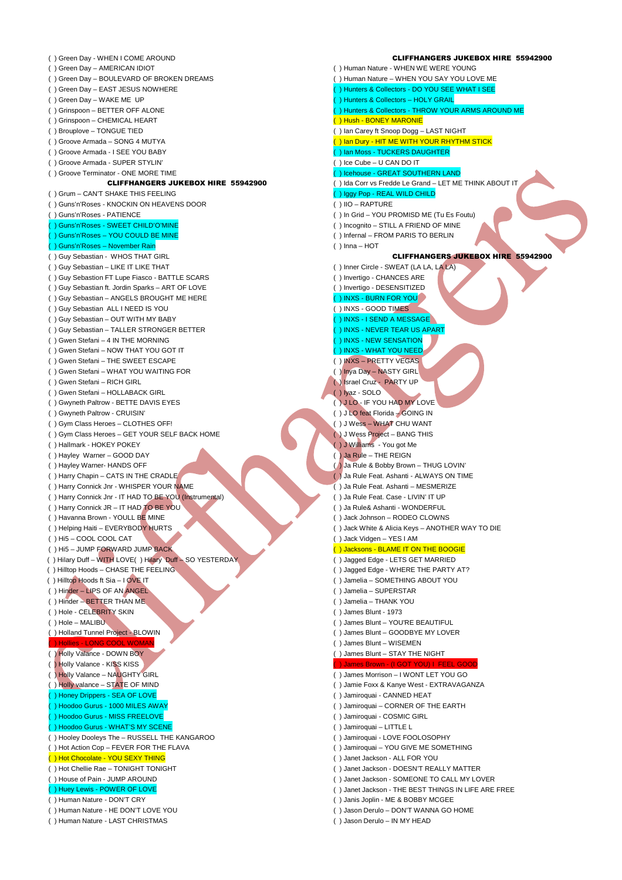( ) Green Day - WHEN I COME AROUND ( ) Green Day – AMERICAN IDIOT ( ) Green Day – BOULEVARD OF BROKEN DREAMS ( ) Green Day – EAST JESUS NOWHERE ( ) Green Day – WAKE ME UP ( ) Grinspoon – BETTER OFF ALONE ( ) Grinspoon – CHEMICAL HEART ( ) Brouplove – TONGUE TIED ( ) Groove Armada – SONG 4 MUTYA ( ) Groove Armada - I SEE YOU BABY ( ) Groove Armada - SUPER STYLIN' ( ) Groove Terminator - ONE MORE TIME CLIFFHANGERS JUKEBOX HIRE 55942900 ( ) Grum – CAN'T SHAKE THIS FEELING ( ) Guns'n'Roses - KNOCKIN ON HEAVENS DOOR ( ) Guns'n'Roses - PATIENCE ( ) Guns'n'Roses - SWEET CHILD'O'MINE ( ) Guns'n'Roses – YOU COULD BE MINE ( ) Guns'n'Roses – November Rain ( ) Guy Sebastian - WHOS THAT GIRL ( ) Guy Sebastian – LIKE IT LIKE THAT ( ) Guy Sebastion FT Lupe Fiasco - BATTLE SCARS ( ) Guy Sebastian ft. Jordin Sparks – ART OF LOVE ( ) Guy Sebastian – ANGELS BROUGHT ME HERE ( ) Guy Sebastian ALL I NEED IS YOU ( ) Guy Sebastian – OUT WITH MY BABY ( ) Guy Sebastian – TALLER STRONGER BETTER ( ) Gwen Stefani – 4 IN THE MORNING ( ) Gwen Stefani – NOW THAT YOU GOT IT ( ) Gwen Stefani – THE SWEET ESCAPE ( ) Gwen Stefani – WHAT YOU WAITING FOR ( ) Gwen Stefani – RICH GIRL ( ) Gwen Stefani – HOLLABACK GIRL ( ) Gwyneth Paltrow - BETTE DAVIS EYES ( ) Gwyneth Paltrow - CRUISIN' ( ) Gym Class Heroes – CLOTHES OFF! ( ) Gym Class Heroes – GET YOUR SELF BACK HOME ( ) Hallmark - HOKEY POKEY ( ) Hayley Warner – GOOD DAY ( ) Hayley Warner- HANDS OFF ( ) Harry Chapin – CATS IN THE CRADLE ( ) Harry Connick Jnr - WHISPER YOUR NAME ( ) Harry Connick Jnr - IT HAD TO BE YOU (Instrumental) ( ) Harry Connick JR – IT HAD TO BE YOU ( ) Havanna Brown - YOULL BE MINE ( ) Helping Haiti – EVERYBODY HURTS ( ) Hi5 – COOL COOL CAT ( ) Hi5 – JUMP FORWARD JUMP BACK ( ) Hilary Duff – WITH LOVE( ) Hilary Duff – SO YESTERDAY ( ) Hilltop Hoods – CHASE THE FEELING ( ) Hilltop Hoods ft Sia – I OVE IT ( ) Hinder – LIPS OF AN ANGEL ( ) Hinder – BETTER THAN ME ( ) Hole - CELEBRITY SKIN ( ) Hole – MALIBU ( ) Holland Tunnel Project - BLOWIN ( ) Hollies - LONG COOL WOMAN ( ) Holly Valance - DOWN BOY ( ) Holly Valance - KISS KISS ( ) Holly Valance – NAUGHTY GIRL ( ) Holly valance – STATE OF MIND ( ) Honey Drippers - SEA OF LOVE ( ) Hoodoo Gurus - 1000 MILES AWAY ( ) Hoodoo Gurus - MISS FREELOVE ( ) Hoodoo Gurus - WHAT'S MY SCENE ( ) Hooley Dooleys The – RUSSELL THE KANGAROO ( ) Hot Action Cop – FEVER FOR THE FLAVA ( ) Hot Chocolate - YOU SEXY THING ( ) Hot Chellie Rae – TONIGHT TONIGHT ( ) House of Pain - JUMP AROUND ( ) Huey Lewis - POWER OF LOVE ( ) Human Nature - DON'T CRY ( ) Human Nature - HE DON'T LOVE YOU ( ) Human Nature - LAST CHRISTMAS

## CLIFFHANGERS JUKEBOX HIRE 55942900 ( ) Human Nature - WHEN WE WERE YOUNG ( ) Human Nature – WHEN YOU SAY YOU LOVE ME ( ) Hunters & Collectors - DO YOU SEE WHAT I SEE ( ) Hunters & Collectors – HOLY GRAIL ) Hunters & Collectors - THROW YOUR ARMS AROUND ME ( ) Hush - BONEY MARONIE ( ) Ian Carey ft Snoop Dogg – LAST NIGHT <mark>( ) Ian Dury - HIT ME WITH YOUR RHYTHM STICK</mark> ) Ian Moss - TUCKERS DAUGHTER ( ) Ice Cube – U CAN DO IT ( ) Icehouse - GREAT SOUTHERN LAND ( ) Ida Corr vs Fredde Le Grand – LET ME THINK ABOUT IT ( ) Iggy Pop - REAL WILD CHILD ( ) IIO – RAPTURE ( ) In Grid – YOU PROMISD ME (Tu Es Foutu) ( ) Incognito – STILL A FRIEND OF MINE ( ) Infernal – FROM PARIS TO BERLIN ( ) Inna – HOT CLIFFHANGERS JUKEBOX HIRE 55942900 ( ) Inner Circle - SWEAT (LA LA, LA LA) ( ) Invertigo - CHANCES ARE ( ) Invertigo - DESENSITIZED ( ) INXS - BURN FOR YOU ( ) INXS - GOOD TIMES ( ) INXS - I SEND A MESSAGE ( ) INXS - NEVER TEAR US APART ( ) INXS - NEW SENSATION ( ) INXS - WHAT YOU NEED ( ) INXS – PRETTY VEGAS ( ) Inya Day – NASTY GIRL ( ) Israel Cruz - PARTY UP ( ) Iyaz - SOLO ( ) J LO - IF YOU HAD MY LOVE ( ) J LO feat Florida – GOING IN ( ) J Wess – WHAT CHU WANT ( ) J Wess Project – BANG THIS ( ) J Williams - You got Me ( ) Ja Rule – THE REIGN ( ) Ja Rule & Bobby Brown – THUG LOVIN' ( ) Ja Rule Feat. Ashanti - ALWAYS ON TIME ( ) Ja Rule Feat. Ashanti – MESMERIZE ( ) Ja Rule Feat. Case - LIVIN' IT UP ( ) Ja Rule& Ashanti - WONDERFUL ) Jack Johnson – RODEO CLOWNS ( ) Jack White & Alicia Keys – ANOTHER WAY TO DIE ( ) Jack Vidgen – YES I AM ( ) Jacksons - BLAME IT ON THE BOOGIE ( ) Jagged Edge - LETS GET MARRIED ( ) Jagged Edge - WHERE THE PARTY AT? ( ) Jamelia – SOMETHING ABOUT YOU ( ) Jamelia – SUPERSTAR ( ) Jamelia – THANK YOU ( ) James Blunt - 1973 ( ) James Blunt – YOU'RE BEAUTIFUL ( ) James Blunt – GOODBYE MY LOVER ( ) James Blunt – WISEMEN ( ) James Blunt – STAY THE NIGHT ( ) James Brown - (I GOT YOU) I FEEL GOOD ( ) James Morrison – I WONT LET YOU GO ( ) Jamie Foxx & Kanye West - EXTRAVAGANZA ( ) Jamiroquai - CANNED HEAT ( ) Jamiroquai – CORNER OF THE EARTH ( ) Jamiroquai - COSMIC GIRL ( ) Jamiroquai – LITTLE L ( ) Jamiroquai - LOVE FOOLOSOPHY ( ) Jamiroquai – YOU GIVE ME SOMETHING ( ) Janet Jackson - ALL FOR YOU ( ) Janet Jackson - DOESN'T REALLY MATTER ( ) Janet Jackson - SOMEONE TO CALL MY LOVER ( ) Janet Jackson - THE BEST THINGS IN LIFE ARE FREE ( ) Janis Joplin - ME & BOBBY MCGEE ( ) Jason Derulo – DON'T WANNA GO HOME ( ) Jason Derulo – IN MY HEAD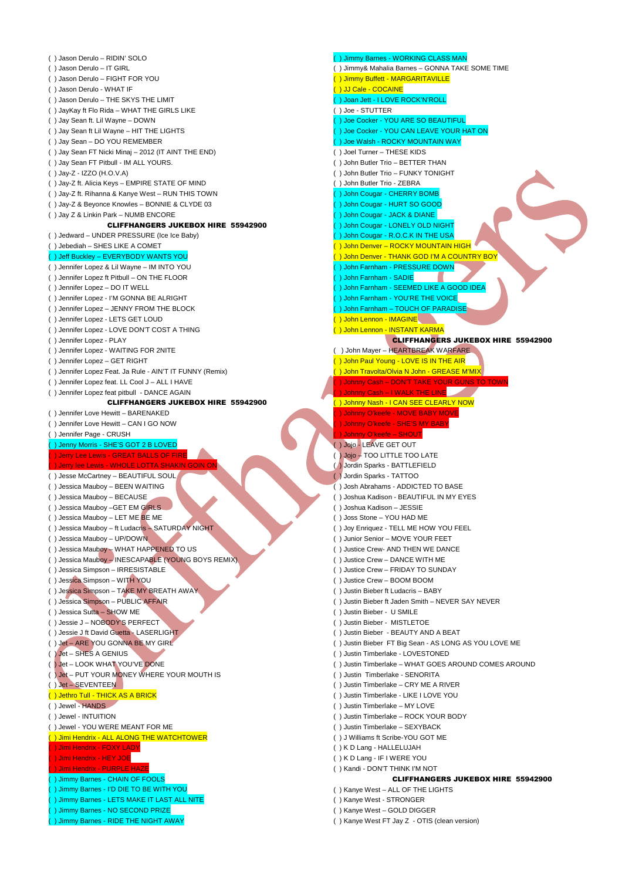| () Jason Derulo - RIDIN' SOLO                            | () Jimmy Barnes - WORKING CLASS MAN                                         |
|----------------------------------------------------------|-----------------------------------------------------------------------------|
| () Jason Derulo - IT GIRL                                | () Jimmy& Mahalia Barnes - GONNA TAKE SOME TIME                             |
| () Jason Derulo - FIGHT FOR YOU                          | () Jimmy Buffett - MARGARITAVILLE                                           |
| () Jason Derulo - WHAT IF                                | () JJ Cale - COCAINE                                                        |
| () Jason Derulo - THE SKYS THE LIMIT                     | () Joan Jett - I LOVE ROCK'N'ROLL                                           |
| () JayKay ft Flo Rida - WHAT THE GIRLS LIKE              | () Joe - STUTTER                                                            |
| () Jay Sean ft. Lil Wayne - DOWN                         | Due Cocker - YOU ARE SO BEAUTIFUL                                           |
| () Jay Sean ft Lil Wayne - HIT THE LIGHTS                | ) Joe Cocker - YOU CAN LEAVE YOUR HAT ON                                    |
| () Jay Sean - DO YOU REMEMBER                            | () Joe Walsh - ROCKY MOUNTAIN WAY                                           |
| () Jay Sean FT Nicki Minaj - 2012 (IT AINT THE END)      | () Joel Turner - THESE KIDS                                                 |
| () Jay Sean FT Pitbull - IM ALL YOURS.                   | () John Butler Trio - BETTER THAN                                           |
| () Jay-Z - IZZO (H.O.V.A)                                | () John Butler Trio - FUNKY TONIGHT                                         |
| () Jay-Z ft. Alicia Keys - EMPIRE STATE OF MIND          | () John Butler Trio - ZEBRA                                                 |
| () Jay-Z ft. Rihanna & Kanye West - RUN THIS TOWN        | () John Cougar - CHERRY BOMB                                                |
| () Jay-Z & Beyonce Knowles - BONNIE & CLYDE 03           | () John Cougar - HURT SO GOOD                                               |
| () Jay Z & Linkin Park - NUMB ENCORE                     | ) John Cougar - JACK & DIANE                                                |
| <b>CLIFFHANGERS JUKEBOX HIRE 55942900</b>                | ) John Cougar - LONELY OLD NIGHT                                            |
|                                                          |                                                                             |
| () Jedward – UNDER PRESSURE (Ice Ice Baby)               | () John Cougar - R.O.C.K IN THE USA<br>() John Denver - ROCKY MOUNTAIN HIGH |
| () Jebediah - SHES LIKE A COMET                          | () John Denver - THANK GOD I'M A COUNTRY BOY                                |
| () Jeff Buckley - EVERYBODY WANTS YOU                    |                                                                             |
| () Jennifer Lopez & Lil Wayne - IM INTO YOU              | () John Farnham - PRESSURE DOWN                                             |
| () Jennifer Lopez ft Pitbull - ON THE FLOOR              | ) John Farnham - SADIE                                                      |
| () Jennifer Lopez - DO IT WELL                           | ) John Farnham - SEEMED LIKE A GOOD IDEA                                    |
| () Jennifer Lopez - I'M GONNA BE ALRIGHT                 | () John Farnham - YOU'RE THE VOICE                                          |
| () Jennifer Lopez - JENNY FROM THE BLOCK                 | ) John Farnham - TOUCH OF PARADISE                                          |
| () Jennifer Lopez - LETS GET LOUD                        | ( ) John Lennon - IMAGINE                                                   |
| () Jennifer Lopez - LOVE DON'T COST A THING              | () John Lennon - INSTANT KARMA                                              |
| () Jennifer Lopez - PLAY                                 | <b>CLIFFHANGERS JUKEBOX HIRE 55942900</b>                                   |
| () Jennifer Lopez - WAITING FOR 2NITE                    | () John Mayer - HEARTBREAK WARFARE                                          |
| () Jennifer Lopez - GET RIGHT                            | () John Paul Young - LOVE IS IN THE AIR                                     |
| () Jennifer Lopez Feat. Ja Rule - AIN'T IT FUNNY (Remix) | <u>( ) John Travolta/Olvia N John - GREASE M'MIX</u>                        |
| () Jennifer Lopez feat. LL Cool J - ALL I HAVE           | ) Johnny Cash - DON'T TAKE YOUR GUNS TO TOWN                                |
| () Jennifer Lopez feat pitbull - DANCE AGAIN             | ) Johnny Cash - I WALK THE LINE                                             |
| <b>CLIFFHANGERS JUKEBOX HIRE 55942900</b>                | () Johnny Nash - I CAN SEE CLEARLY NOW                                      |
| () Jennifer Love Hewitt - BARENAKED                      | ) Johnny O'keefe - MOVE BABY MOVE                                           |
| () Jennifer Love Hewitt - CAN I GO NOW                   | ) Johnny O'keefe - SHE'S MY BABY                                            |
| () Jennifer Page - CRUSH                                 | ) Johnny O'keefe - SHOUT                                                    |
| () Jenny Morris - SHE'S GOT 2 B LOVED                    | () Jojo - LEAVE GET OUT                                                     |
| ) Jerry Lee Lewis - GREAT BALLS OF FIRE                  | () Jojo - TOO LITTLE TOO LATE                                               |
| ) Jerry lee Lewis - WHOLE LOTTA SHAKIN GOIN ON           | ( ) Jordin Sparks - BATTLEFIELD                                             |
| () Jesse McCartney - BEAUTIFUL SOUL                      | () Jordin Sparks - TATTOO                                                   |
| () Jessica Mauboy - BEEN WAITING                         | () Josh Abrahams - ADDICTED TO BASE                                         |
| () Jessica Mauboy - BECAUSE                              | () Joshua Kadison - BEAUTIFUL IN MY EYES                                    |
| () Jessica Mauboy - GET EM GIRLS                         | () Joshua Kadison - JESSIE                                                  |
| () Jessica Mauboy - LET ME BE ME                         | () Joss Stone - YOU HAD ME                                                  |
| () Jessica Mauboy - ft Ludacris - SATURDAY NIGHT         | () Joy Enriquez - TELL ME HOW YOU FEEL                                      |
| () Jessica Mauboy - UP/DOWN                              | () Junior Senior - MOVE YOUR FEET                                           |
| () Jessica Mauboy - WHAT HAPPENED TO US                  | () Justice Crew- AND THEN WE DANCE                                          |
| () Jessica Mauboy - INESCAPABLE (YOUNG BOYS REMIX)       | () Justice Crew - DANCE WITH ME                                             |
| () Jessica Simpson - IRRESISTABLE                        | () Justice Crew - FRIDAY TO SUNDAY                                          |
| () Jessica Simpson - WITH YOU                            | () Justice Crew - BOOM BOOM                                                 |
| () Jessica Simpson - TAKE MY BREATH AWAY                 | () Justin Bieber ft Ludacris - BABY                                         |
| () Jessica Simpson - PUBLIC AFFAIR                       | () Justin Bieber ft Jaden Smith - NEVER SAY NEVER                           |
| () Jessica Sutta - SHOW ME                               | () Justin Bieber - U SMILE                                                  |
| () Jessie J - NOBODY'S PERFECT                           | () Justin Bieber - MISTLETOE                                                |
| () Jessie J ft David Guetta - LASERLIGHT                 | () Justin Bieber - BEAUTY AND A BEAT                                        |
| () Jet - ARE YOU GONNA BE MY GIRL                        | () Justin Bieber FT Big Sean - AS LONG AS YOU LOVE ME                       |
| $()$ Jet – SHES A GENIUS                                 | () Justin Timberlake - LOVESTONED                                           |
| () Jet - LOOK WHAT YOU'VE DONE                           | () Justin Timberlake - WHAT GOES AROUND COMES AROUND                        |
| () Jet - PUT YOUR MONEY WHERE YOUR MOUTH IS              | () Justin Timberlake - SENORITA                                             |
| () Jet - SEVENTEEN                                       | () Justin Timberlake – CRY ME A RIVER                                       |
| () Jethro Tull - THICK AS A BRICK                        | () Justin Timberlake - LIKE I LOVE YOU                                      |
| () Jewel - HANDS                                         | () Justin Timberlake - MY LOVE                                              |
| () Jewel - INTUITION                                     | () Justin Timberlake - ROCK YOUR BODY                                       |
| () Jewel - YOU WERE MEANT FOR ME                         | () Justin Timberlake - SEXYBACK                                             |
| () Jimi Hendrix - ALL ALONG THE WATCHTOWER               | () J Williams ft Scribe-YOU GOT ME                                          |
|                                                          |                                                                             |
| ) Jimi Hendrix - FOXY LADY                               | () K D Lang - HALLELUJAH                                                    |
| ) Jimi Hendrix - HEY JOE                                 | () K D Lang - IF I WERE YOU                                                 |
| ) Jimi Hendrix - PURPLE HAZE                             | () Kandi - DON'T THINK I'M NOT                                              |
| () Jimmy Barnes - CHAIN OF FOOLS                         | <b>CLIFFHANGERS JUKEBOX HIRE 55942900</b>                                   |
| ) Jimmy Barnes - I'D DIE TO BE WITH YOU                  | () Kanye West - ALL OF THE LIGHTS                                           |
| () Jimmy Barnes - LETS MAKE IT LAST ALL NITE             | () Kanye West - STRONGER                                                    |
| ) Jimmy Barnes - NO SECOND PRIZE                         | () Kanye West - GOLD DIGGER                                                 |
| ) Jimmy Barnes - RIDE THE NIGHT AWAY                     | () Kanye West FT Jay Z - OTIS (clean version)                               |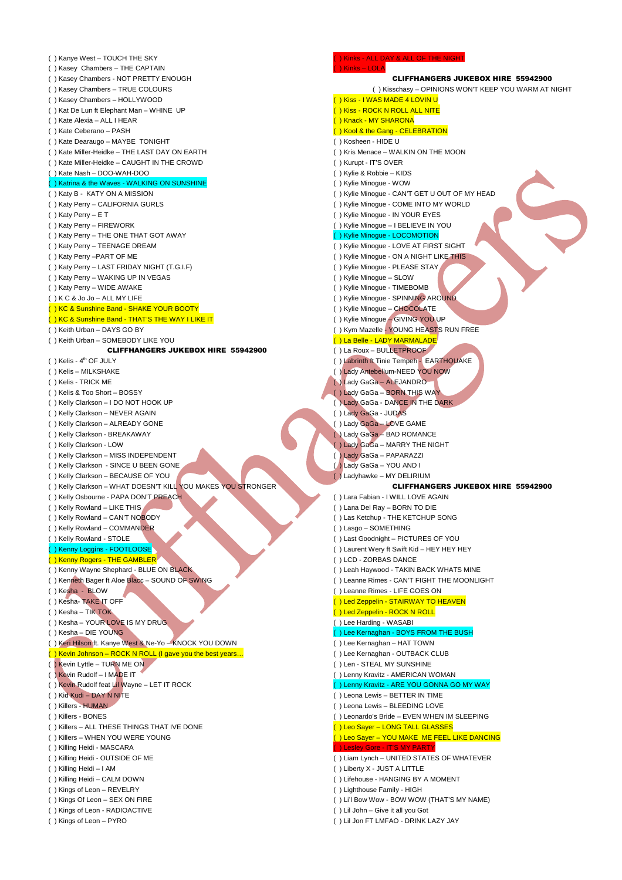( ) Kanye West – TOUCH THE SKY ( ) Kasey Chambers – THE CAPTAIN ( ) Kasey Chambers - NOT PRETTY ENOUGH ( ) Kasey Chambers – TRUE COLOURS ( ) Kasey Chambers – HOLLYWOOD ( ) Kat De Lun ft Elephant Man – WHINE UP ( ) Kate Alexia – ALL I HEAR ( ) Kate Ceberano – PASH ( ) Kate Dearaugo – MAYBE TONIGHT ( ) Kate Miller-Heidke – THE LAST DAY ON EARTH ( ) Kate Miller-Heidke – CAUGHT IN THE CROWD ( ) Kate Nash – DOO-WAH-DOO ( ) Katrina & the Waves - WALKING ON SUNSHINE ( ) Katy B - KATY ON A MISSION ( ) Katy Perry – CALIFORNIA GURLS ( ) Katy Perry – E T ( ) Katy Perry – FIREWORK ( ) Katy Perry – THE ONE THAT GOT AWAY ( ) Katy Perry – TEENAGE DREAM ( ) Katy Perry –PART OF ME ( ) Katy Perry – LAST FRIDAY NIGHT (T.G.I.F) ( ) Katy Perry – WAKING UP IN VEGAS ( ) Katy Perry – WIDE AWAKE ( ) K C & Jo Jo – ALL MY LIFE ( ) KC & Sunshine Band - SHAKE YOUR BOOTY ( ) KC & Sunshine Band - THAT'S THE WAY I LIKE IT ( ) Keith Urban – DAYS GO BY ( ) Keith Urban – SOMEBODY LIKE YOU CLIFFHANGERS JUKEBOX HIRE 55942900  $( )$  Kelis -  $4<sup>th</sup>$  OF JULY ( ) Kelis – MILKSHAKE ( ) Kelis - TRICK ME ( ) Kelis & Too Short – BOSSY ( ) Kelly Clarkson – I DO NOT HOOK UP ( ) Kelly Clarkson – NEVER AGAIN ( ) Kelly Clarkson – ALREADY GONE ( ) Kelly Clarkson - BREAKAWAY ( ) Kelly Clarkson - LOW ( ) Kelly Clarkson – MISS INDEPENDENT ( ) Kelly Clarkson - SINCE U BEEN GONE ( ) Kelly Clarkson – BECAUSE OF YOU ( ) Kelly Clarkson – WHAT DOESN'T KILL YOU MAKES YOU STRONGER ( ) Kelly Osbourne - PAPA DON'T PREACH ( ) Kelly Rowland – LIKE THIS ( ) Kelly Rowland – CAN'T NOBODY ( ) Kelly Rowland – COMMANDER ( ) Kelly Rowland - STOLE ( ) Kenny Loggins - FOOTLOOSE ( ) Kenny Rogers - THE GAMBLER ( ) Kenny Wayne Shephard - BLUE ON BLACK ( ) Kenneth Bager ft Aloe Blacc – SOUND OF SWING ( ) Kesha - BLOW ( ) Kesha- TAKE IT OFF ( ) Kesha – TIK TOK ( ) Kesha – YOUR LOVE IS MY DRUG ( ) Kesha – DIE YOUNG ( ) Keri Hilson ft. Kanye West & Ne-Yo – KNOCK YOU DOWN ( ) Kevin Johnson – ROCK N ROLL (I gave you the best years… ( ) Kevin Lyttle – TURN ME ON ( ) Kevin Rudolf – I MADE IT ( ) Kevin Rudolf feat Lil Wayne – LET IT ROCK ( ) Kid Kudi – DAY N NITE ( ) Killers - HUMAN ( ) Killers - BONES ( ) Killers – ALL THESE THINGS THAT IVE DONE ( ) Killers – WHEN YOU WERE YOUNG ( ) Killing Heidi - MASCARA ( ) Killing Heidi - OUTSIDE OF ME ( ) Killing Heidi – I AM ( ) Killing Heidi – CALM DOWN ( ) Kings of Leon – REVELRY ( ) Kings Of Leon – SEX ON FIRE ( ) Kings of Leon - RADIOACTIVE ( ) Kings of Leon – PYRO Kinks - ALL DAY & ALL OF THE N ( ) Kinks – LOLA ( ) Kisschasy – OPINIONS WON'T KEEP YOU WARM AT NIGHT ) Kiss - I WAS MADE 4 LOVIN U ) Kiss - ROCK N ROLL ALL NITE ( ) Knack - MY SHARONA ( ) Kool & the Gang - CELEBRATION ( ) Kosheen - HIDE U ( ) Kris Menace – WALKIN ON THE MOON ( ) Kurupt - IT'S OVER ( ) Kylie & Robbie – KIDS ( ) Kylie Minogue - WOW ( ) Kylie Minogue - CAN'T GET U OUT OF MY HEAD ( ) Kylie Minogue - COME INTO MY WORLD ( ) Kylie Minogue - IN YOUR EYES ( ) Kylie Minogue – I BELIEVE IN YOU ( ) Kylie Minogue - LOCOMOTION ( ) Kylie Minogue - LOVE AT FIRST SIGHT ( ) Kylie Minogue - ON A NIGHT LIKE THIS ( ) Kylie Minogue - PLEASE STAY ( ) Kylie Minogue – SLOW ( ) Kylie Minogue - TIMEBOMB ( ) Kylie Minogue - SPINNING AROUND ( ) Kylie Minogue – CHOCOLATE ( ) Kylie Minogue – GIVING YOU UP ( ) Kym Mazelle - YOUNG HEASTS RUN FREE ( ) La Belle - LADY MARMALADE ( ) La Roux – BULLETPROOF ( ) Labrinth ft Tinie Tempeh - EARTHQUAKE ( ) Lady Antebellum-NEED YOU NOW ( ) Lady GaGa – ALEJANDRO ( ) Lady GaGa – BORN THIS WAY ( ) Lady GaGa - DANCE IN THE DARK ( ) Lady GaGa - JUDAS ( ) Lady GaGa – LOVE GAME ( ) Lady GaGa – BAD ROMANCE ( ) Lady GaGa – MARRY THE NIGHT ( ) Lady GaGa – PAPARAZZI ( ) Lady GaGa – YOU AND I ( ) Ladyhawke – MY DELIRIUM ( ) Lara Fabian - I WILL LOVE AGAIN ( ) Lana Del Ray – BORN TO DIE ( ) Las Ketchup - THE KETCHUP SONG ( ) Lasgo – SOMETHING ( ) Last Goodnight – PICTURES OF YOU ( ) Laurent Wery ft Swift Kid – HEY HEY HEY ( ) LCD - ZORBAS DANCE ( ) Leah Haywood - TAKIN BACK WHATS MINE ( ) Leanne Rimes - CAN'T FIGHT THE MOONLIGHT ( ) Leanne Rimes - LIFE GOES ON ( ) Led Zeppelin - STAIRWAY TO HEAVEN ( ) Led Zeppelin - ROCK N ROLL ( ) Lee Harding - WASABI ( ) Lee Kernaghan - BOYS FROM THE BUSH ( ) Lee Kernaghan – HAT TOWN ( ) Lee Kernaghan - OUTBACK CLUB ( ) Len - STEAL MY SUNSHINE ( ) Lenny Kravitz - AMERICAN WOMAN ( ) Lenny Kravitz - ARE YOU GONNA GO MY WAY ( ) Leona Lewis – BETTER IN TIME ( ) Leona Lewis – BLEEDING LOVE ( ) Leonardo's Bride – EVEN WHEN IM SLEEPING ( ) Leo Sayer – LONG TALL GLASSES ( ) Leo Sayer – YOU MAKE ME FEEL LIKE DANCING ( ) Lesley Gore - IT'S MY PARTY ( ) Liam Lynch – UNITED STATES OF WHATEVER ( ) Liberty X - JUST A LITTLE ( ) Lifehouse - HANGING BY A MOMENT ( ) Lighthouse Family - HIGH ( ) Li'l Bow Wow - BOW WOW (THAT'S MY NAME) ( ) Lil John – Give it all you Got

( ) Lil Jon FT LMFAO - DRINK LAZY JAY

CLIFFHANGERS JUKEBOX HIRE 55942900

CLIFFHANGERS JUKEBOX HIRE 55942900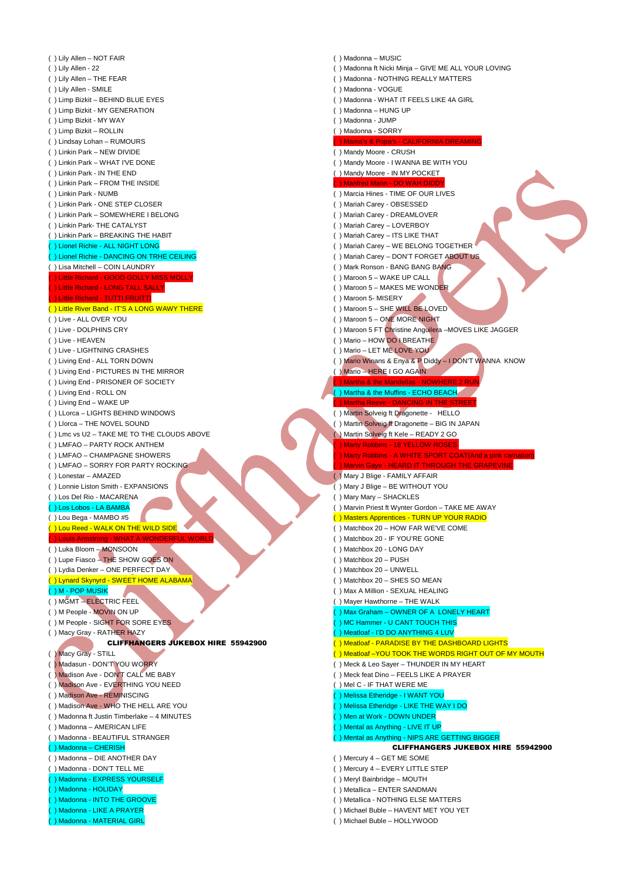( ) Lily Allen – NOT FAIR ( ) Lily Allen - 22 ( ) Lily Allen – THE FEAR ( ) Lily Allen - SMILE ( ) Limp Bizkit – BEHIND BLUE EYES ( ) Limp Bizkit - MY GENERATION ( ) Limp Bizkit - MY WAY ( ) Limp Bizkit – ROLLIN ( ) Lindsay Lohan – RUMOURS ( ) Linkin Park – NEW DIVIDE ( ) Linkin Park – WHAT I'VE DONE ( ) Linkin Park - IN THE END ( ) Linkin Park – FROM THE INSIDE ( ) Linkin Park - NUMB ( ) Linkin Park - ONE STEP CLOSER ( ) Linkin Park – SOMEWHERE I BELONG ( ) Linkin Park- THE CATALYST ( ) Linkin Park – BREAKING THE HABIT ( ) Lionel Richie - ALL NIGHT LONG ( ) Lionel Richie - DANCING ON TRHE CEILING ( ) Lisa Mitchell – COIN LAUNDRY ) Little Richard - GOOD GOLLY MISS MOL ) Little Richard - LONG TALL SA<mark>L</mark> ttle Richard - TUTTI FRUITTI ( ) Little River Band - IT'S A LONG WAWY THERE ( ) Live - ALL OVER YOU ( ) Live - DOLPHINS CRY ( ) Live - HEAVEN ( ) Live - LIGHTNING CRASHES ( ) Living End - ALL TORN DOWN ( ) Living End - PICTURES IN THE MIRROR ( ) Living End - PRISONER OF SOCIETY ( ) Living End - ROLL ON ( ) Living End – WAKE UP ( ) LLorca – LIGHTS BEHIND WINDOWS ( ) Llorca – THE NOVEL SOUND ( ) Lmc vs U2 – TAKE ME TO THE CLOUDS ABOVE ( ) LMFAO – PARTY ROCK ANTHEM ( ) LMFAO – CHAMPAGNE SHOWERS ( ) LMFAO – SORRY FOR PARTY ROCKING ( ) Lonestar – AMAZED ( ) Lonnie Liston Smith - EXPANSIONS ( ) Los Del Rio - MACARENA ( ) Los Lobos - LA BAMBA ( ) Lou Bega - MAMBO #5 () Lou Reed - WALK ON THE WILD SIDE ( ) Louis Armstrong - WHAT A WONDERFUL WORLD ( ) Luka Bloom – MONSOON ( ) Lupe Fiasco – THE SHOW GOES ON ( ) Lydia Denker – ONE PERFECT DAY ( ) Lynard Skynyrd - SWEET HOME ALABAMA ( ) M - POP MUSIK ( ) MGMT – ELECTRIC FEEL ( ) M People - MOVIN ON UP ( ) M People - SIGHT FOR SORE EYES ( ) Macy Gray - RATHER HAZY CLIFFHANGERS JUKEBOX HIRE 55942900 ( ) Macy Gray - STILL ( ) Madasun - DON'T YOU WORRY ( ) Madison Ave - DON'T CALL ME BABY ( ) Madison Ave - EVERTHING YOU NEED ( ) Madison Ave - REMINISCING ( ) Madison Ave - WHO THE HELL ARE YOU ( ) Madonna ft Justin Timberlake – 4 MINUTES ( ) Madonna – AMERICAN LIFE ( ) Madonna - BEAUTIFUL STRANGER ( ) Madonna – CHERISH ( ) Madonna – DIE ANOTHER DAY ( ) Madonna - DON'T TELL ME ( ) Madonna - EXPRESS YOURSELF ( ) Madonna - HOLIDAY ( ) Madonna - INTO THE GROOVE ( ) Madonna - LIKE A PRAYER ( ) Madonna - MATERIAL GIRL ( ) Madonna – MUSIC ( ) Madonna ft Nicki Minja – GIVE ME ALL YOUR LOVING ( ) Madonna - NOTHING REALLY MATTERS ( ) Madonna - VOGUE ( ) Madonna - WHAT IT FEELS LIKE 4A GIRL ( ) Madonna – HUNG UP ( ) Madonna - JUMP ( ) Madonna - SORRY ( ) Mama's & Popa's - CALIFORNIA DREAMING ( ) Mandy Moore - CRUSH ( ) Mandy Moore - I WANNA BE WITH YOU ( ) Mandy Moore - IN MY POCKET ( ) Manfred Mann - DO WAH DIDDY ( ) Marcia Hines - TIME OF OUR LIVES ( ) Mariah Carey - OBSESSED ( ) Mariah Carey - DREAMLOVER ( ) Mariah Carey – LOVERBOY ( ) Mariah Carey – ITS LIKE THAT ( ) Mariah Carey – WE BELONG TOGETHER ( ) Mariah Carey – DON'T FORGET ABOUT US ( ) Mark Ronson - BANG BANG BANG ( ) Maroon 5 – WAKE UP CALL ( ) Maroon 5 – MAKES ME WONDER ( ) Maroon 5- MISERY ( ) Maroon 5 – SHE WILL BE LOVED ( ) Maroon 5 – ONE MORE NIGHT ( ) Maroon 5 FT Christine Anguilera –MOVES LIKE JAGGER ( ) Mario – HOW DO I BREATHE ( ) Mario – LET ME LOVE YOU ( ) Mario Winans & Enya & P Diddy – I DON'T WANNA KNOW ( ) Mario – HERE I GO AGAIN ) Martha & the Mandellas -) Martha & the Muffins - ECHO BEACH<mark>r</mark> ( ) Martha Reeve - DANCING IN THE STREET ( ) Martin Solveig ft Dragonette - HELLO ( ) Martin Solveig ft Dragonette – BIG IN JAPAN ( ) Martin Solveig ft Kele – READY 2 GO Marty Robbins - 18 YELLOW ROSES ) Marty Robbins - A WHITE SPORT COAT(And a pink carn  $\cdot$  - HEARD IT THROUGH THE GRAPEVINE ( ) Mary J Blige - FAMILY AFFAIR ( ) Mary J Blige – BE WITHOUT YOU ( ) Mary Mary – SHACKLES ( ) Marvin Priest ft Wynter Gordon – TAKE ME AWAY ) Masters Apprentices - TURN UP YOUR RADIO ( ) Matchbox 20 – HOW FAR WE'VE COME ( ) Matchbox 20 - IF YOU'RE GONE ( ) Matchbox 20 - LONG DAY ( ) Matchbox 20 – PUSH ( ) Matchbox 20 – UNWELL ( ) Matchbox 20 – SHES SO MEAN ( ) Max A Million - SEXUAL HEALING ( ) Mayer Hawthorne – THE WALK ( ) Max Graham – OWNER OF A LONELY HEART ) MC Hammer - U CANT TOUCH THIS ) Meatloaf - I'D DO ANYTHING 4 LUV ( ) Meatloaf - PARADISE BY THE DASHBOARD LIGHTS ( ) Meatloaf –YOU TOOK THE WORDS RIGHT OUT OF MY MOUTH ( ) Meck & Leo Sayer – THUNDER IN MY HEART ( ) Meck feat Dino – FEELS LIKE A PRAYER ( ) Mel C - IF THAT WERE ME ( ) Melissa Etheridge - I WANT YOU ( ) Melissa Etheridge - LIKE THE WAY I DO ( ) Men at Work - DOWN UNDER ) Mental as Anything - LIVE IT UP ( ) Mental as Anything - NIPS ARE GETTING BIGGER CLIFFHANGERS JUKEBOX HIRE 55942900 ( ) Mercury 4 – GET ME SOME ( ) Mercury 4 – EVERY LITTLE STEP ( ) Meryl Bainbridge – MOUTH ( ) Metallica – ENTER SANDMAN ( ) Metallica - NOTHING ELSE MATTERS ( ) Michael Buble – HAVENT MET YOU YET ( ) Michael Buble – HOLLYWOOD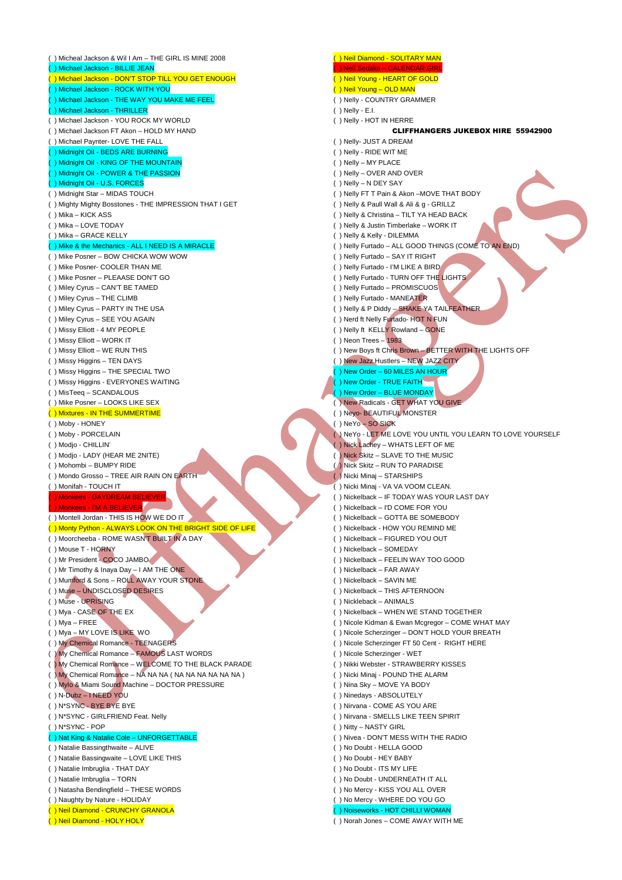) Micheal Jackson & Wil I Am - THE GIRL IS MINE 2008 ( ) Michael Jackson - BILLIE JEAN ( ) Michael Jackson - DON'T STOP TILL YOU GET ENOUGH ( ) Michael Jackson - ROCK WITH YOU () Michael Jackson - THE WAY YOU MAKE ME FEEL ( ) Michael Jackson - THRILLER ( ) Michael Jackson - YOU ROCK MY WORLD ( ) Michael Jackson FT Akon – HOLD MY HAND ( ) Michael Paynter- LOVE THE FALL ( ) Midnight Oil - BEDS ARE BURNING ( ) Midnight Oil - KING OF THE MOUNTAIN ( ) Midnight Oil - POWER & THE PASSION ( ) Midnight Oil - U.S. FORCES ( ) Midnight Star – MIDAS TOUCH ( ) Mighty Mighty Bosstones - THE IMPRESSION THAT I GET ( ) Mika – KICK ASS ( ) Mika – LOVE TODAY ( ) Mika – GRACE KELLY ) Mike & the Mechanics - ALL I NEED IS A MIRACLE ( ) Mike Posner – BOW CHICKA WOW WOW ( ) Mike Posner- COOLER THAN ME ( ) Mike Posner – PLEAASE DON'T GO ( ) Miley Cyrus – CAN'T BE TAMED ( ) Miley Cyrus – THE CLIMB ( ) Miley Cyrus – PARTY IN THE USA ( ) Miley Cyrus – SEE YOU AGAIN ( ) Missy Elliott - 4 MY PEOPLE ( ) Missy Elliott – WORK IT ( ) Missy Elliott – WE RUN THIS ( ) Missy Higgins – TEN DAYS ( ) Missy Higgins – THE SPECIAL TWO ( ) Missy Higgins - EVERYONES WAITING ( ) MisTeeq – SCANDALOUS ( ) Mike Posner – LOOKS LIKE SEX ( ) Mixtures - IN THE SUMMERTIME ( ) Moby - HONEY ( ) Moby - PORCELAIN ( ) Modjo - CHILLIN' ( ) Modjo - LADY (HEAR ME 2NITE) ( ) Mohombi – BUMPY RIDE ( ) Mondo Grosso – TREE AIR RAIN ON EARTH ( ) Monifah - TOUCH IT ) Monkees - DAYDREAM BEL lonkees - I'M A BELIEVER ( ) Montell Jordan - THIS IS HOW WE DO IT ( ) Monty Python - ALWAYS LOOK ON THE BRIGHT SIDE OF LIFE ( ) Moorcheeba - ROME WASN'T BUILT IN A DAY ( ) Mouse T - HORNY ( ) Mr President - COCO JAMBO ( ) Mr Timothy & Inaya Day – I AM THE ONE ( ) Mumford & Sons – ROLL AWAY YOUR STONE ( ) Muse – UNDISCLOSED DESIRES ( ) Muse - UPRISING ( ) Mya - CASE OF THE EX ( ) Mya – FREE ( ) Mya – MY LOVE IS LIKE WO ( ) My Chemical Romance - TEENAGERS ( ) My Chemical Romance – FAMOUS LAST WORDS ( ) My Chemical Romance – WELCOME TO THE BLACK PARADE ( ) My Chemical Romance – NA NA NA ( NA NA NA NA NA NA ) ( ) Mylo & Miami Sound Machine – DOCTOR PRESSURE ( ) N-Dubz – I NEED YOU ( ) N\*SYNC - BYE BYE BYE ( ) N\*SYNC - GIRLFRIEND Feat. Nelly ( ) N\*SYNC - POP lat King & Natalie Cole – UNFORGETTABLE ( ) Natalie Bassingthwaite – ALIVE ( ) Natalie Bassingwaite – LOVE LIKE THIS ( ) Natalie Imbruglia - THAT DAY ( ) Natalie Imbruglia – TORN ( ) Natasha Bendingfield – THESE WORDS ( ) Naughty by Nature - HOLIDAY ( ) Neil Diamond - CRUNCHY GRANOLA

( ) Neil Diamond - HOLY HOLY

( ) Neil Sedaka – CALENDAR GIRL ( ) Neil Young - HEART OF GOLD ( ) Neil Young – OLD MAN ( ) Nelly - COUNTRY GRAMMER ( ) Nelly - E.I. ( ) Nelly - HOT IN HERRE CLIFFHANGERS JUKEBOX HIRE 55942900 ( ) Nelly- JUST A DREAM ( ) Nelly - RIDE WIT ME ( ) Nelly – MY PLACE ( ) Nelly – OVER AND OVER ( ) Nelly – N DEY SAY ( ) Nelly FT T Pain & Akon –MOVE THAT BODY ( ) Nelly & Paull Wall & Ali & g - GRILLZ ( ) Nelly & Christina – TILT YA HEAD BACK ( ) Nelly & Justin Timberlake – WORK IT ( ) Nelly & Kelly - DILEMMA ( ) Nelly Furtado – ALL GOOD THINGS (COME TO AN END) ( ) Nelly Furtado – SAY IT RIGHT ( ) Nelly Furtado - I'M LIKE A BIRD ( ) Nelly Furtado - TURN OFF THE LIGHTS ( ) Nelly Furtado – PROMISCUOS ( ) Nelly Furtado - MANEATER ( ) Nelly & P Diddy – SHAKE YA TAILFEATHER ( ) Nerd ft Nelly Furtado- HOT N FUN ( ) Nelly ft KELLY Rowland – GONE ( ) Neon Trees – 1983 ( ) New Boys ft Chris Brown – BETTER WITH THE LIGHTS OFF ( ) New Jazz Hustlers – NEW JAZZ CITY ( ) New Order – 60 MILES AN HOUR ( ) New Order - TRUE FAITH ( ) New Order – BLUE MONDAY ( ) New Radicals - GET WHAT YOU GIVE ( ) Neyo- BEAUTIFUL MONSTER ( ) NeYo – SO SICK ( ) NeYo - LET ME LOVE YOU UNTIL YOU LEARN TO LOVE YOURSELF ( ) Nick Lachey – WHATS LEFT OF ME ( ) Nick Skitz – SLAVE TO THE MUSIC ( ) Nick Skitz – RUN TO PARADISE ( ) Nicki Minaj – STARSHIPS ( ) Nicki Minaj - VA VA VOOM CLEAN. ( ) Nickelback – IF TODAY WAS YOUR LAST DAY ( ) Nickelback – I'D COME FOR YOU ( ) Nickelback – GOTTA BE SOMEBODY ( ) Nickelback - HOW YOU REMIND ME ( ) Nickelback – FIGURED YOU OUT ( ) Nickelback – SOMEDAY ( ) Nickelback – FEELIN WAY TOO GOOD ( ) Nickelback – FAR AWAY ( ) Nickelback – SAVIN ME ( ) Nickelback – THIS AFTERNOON ( ) Nickleback – ANIMALS ( ) Nickelback – WHEN WE STAND TOGETHER ( ) Nicole Kidman & Ewan Mcgregor – COME WHAT MAY ( ) Nicole Scherzinger – DON'T HOLD YOUR BREATH ( ) Nicole Scherzinger FT 50 Cent - RIGHT HERE ( ) Nicole Scherzinger - WET ( ) Nikki Webster - STRAWBERRY KISSES ( ) Nicki Minaj - POUND THE ALARM ( ) Nina Sky – MOVE YA BODY ( ) Ninedays - ABSOLUTELY ( ) Nirvana - COME AS YOU ARE ( ) Nirvana - SMELLS LIKE TEEN SPIRIT ( ) Nitty – NASTY GIRL ( ) Nivea - DON'T MESS WITH THE RADIO ( ) No Doubt - HELLA GOOD ( ) No Doubt - HEY BABY ( ) No Doubt - ITS MY LIFE ( ) No Doubt - UNDERNEATH IT ALL ( ) No Mercy - KISS YOU ALL OVER ( ) No Mercy - WHERE DO YOU GO

( ) Neil Diamond - SOLITARY MAN

- ( ) Noiseworks HOT CHILLI WOMAN
- ( ) Norah Jones COME AWAY WITH ME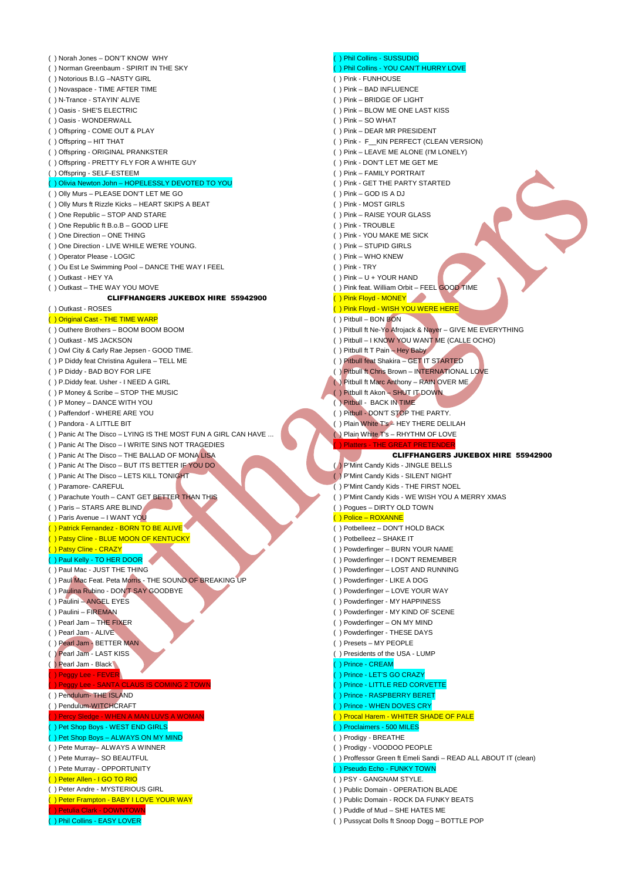( ) Norah Jones – DON'T KNOW WHY ( ) Norman Greenbaum - SPIRIT IN THE SKY ( ) Notorious B.I.G –NASTY GIRL ( ) Novaspace - TIME AFTER TIME ( ) N-Trance - STAYIN' ALIVE ( ) Oasis - SHE'S ELECTRIC ( ) Oasis - WONDERWALL ( ) Offspring - COME OUT & PLAY ( ) Offspring – HIT THAT ( ) Offspring - ORIGINAL PRANKSTER ( ) Offspring - PRETTY FLY FOR A WHITE GUY ( ) Offspring - SELF-ESTEEM ( ) Olivia Newton John – HOPELESSLY DEVOTED TO YOU ( ) Olly Murs – PLEASE DON'T LET ME GO ( ) Olly Murs ft Rizzle Kicks – HEART SKIPS A BEAT ( ) One Republic – STOP AND STARE ( ) One Republic ft B.o.B – GOOD LIFE ( ) One Direction – ONE THING ( ) One Direction - LIVE WHILE WE'RE YOUNG. ( ) Operator Please - LOGIC ( ) Ou Est Le Swimming Pool – DANCE THE WAY I FEEL ( ) Outkast - HEY YA ( ) Outkast – THE WAY YOU MOVE CLIFFHANGERS JUKEBOX HIRE 55942900 ( ) Outkast - ROSES ( ) Original Cast - THE TIME WARP ( ) Outhere Brothers – BOOM BOOM BOOM ( ) Outkast - MS JACKSON ( ) Owl City & Carly Rae Jepsen - GOOD TIME. ( ) P Diddy feat Christina Aguilera – TELL ME ( ) P Diddy - BAD BOY FOR LIFE ( ) P.Diddy feat. Usher - I NEED A GIRL ( ) P Money & Scribe – STOP THE MUSIC ( ) P Money – DANCE WITH YOU ( ) Paffendorf - WHERE ARE YOU ( ) Pandora - A LITTLE BIT ( ) Panic At The Disco – LYING IS THE MOST FUN A GIRL CAN HAVE ... ( ) Panic At The Disco – I WRITE SINS NOT TRAGEDIES ( ) Panic At The Disco – THE BALLAD OF MONA LISA ( ) Panic At The Disco – BUT ITS BETTER IF YOU DO ( ) Panic At The Disco – LETS KILL TONIGHT ( ) Paramore- CAREFUL ( ) Parachute Youth – CANT GET BETTER THAN THIS ( ) Paris – STARS ARE BLIND ( ) Paris Avenue – I WANT YOU ( ) Patrick Fernandez - BORN TO BE ALIVE ( ) Patsy Cline - BLUE MOON OF KENTUCKY ( ) Patsy Cline - CRAZY ( ) Paul Kelly - TO HER DOOR () Paul Mac - JUST THE THING ( ) Paul Mac Feat. Peta Morris - THE SOUND OF BREAKING UP ( ) Paulina Rubino - DON'T SAY GOODBYE ( ) Paulini – ANGEL EYES ( ) Paulini – FIREMAN ( ) Pearl Jam – THE FIXER ( ) Pearl Jam - ALIVE ( ) Pearl Jam - BETTER MAN ( ) Pearl Jam - LAST KISS ( ) Pearl Jam - Black Peggy Lee - FEVER ( ) Peggy Lee - SANTA CLAUS IS COMING 2 TOWN ( ) Pendulum- THE ISLAND ( ) Pendulum-WITCHCRAFT A MAN LUVS A ( ) Pet Shop Boys - WEST END GIRLS ( ) Pet Shop Boys – ALWAYS ON MY MIND ( ) Pete Murray– ALWAYS A WINNER ( ) Pete Murray– SO BEAUTFUL ( ) Pete Murray - OPPORTUNITY ( ) Peter Allen - I GO TO RIO ( ) Peter Andre - MYSTERIOUS GIRL ( ) Peter Frampton - BABY I LOVE YOUR WAY ( ) Petulia Clark - DOWNTOWN ( ) Phil Collins - EASY LOVER

## ( ) Phil Collins - SUSSUDIO

- ( ) Phil Collins YOU CAN'T HURRY LOVE
- ( ) Pink FUNHOUSE
- ( ) Pink BAD INFLUENCE
- ( ) Pink BRIDGE OF LIGHT
- ( ) Pink BLOW ME ONE LAST KISS
- ( ) Pink SO WHAT
- ( ) Pink DEAR MR PRESIDENT
- ( ) Pink F\_\_KIN PERFECT (CLEAN VERSION)
- ( ) Pink LEAVE ME ALONE (I'M LONELY)
- ( ) Pink DON'T LET ME GET ME
- ( ) Pink FAMILY PORTRAIT
- ( ) Pink GET THE PARTY STARTED
- ( ) Pink GOD IS A DJ
- ( ) Pink MOST GIRLS
- ( ) Pink RAISE YOUR GLASS
- ( ) Pink TROUBLE
- ( ) Pink YOU MAKE ME SICK
- ( ) Pink STUPID GIRLS
- ( ) Pink WHO KNEW
- ( ) Pink TRY
- ( ) Pink U + YOUR HAND
- ( ) Pink feat. William Orbit FEEL GOOD TIME
- ( ) Pink Floyd MONEY
- ( ) Pink Floyd WISH YOU WERE HERE
- ( ) Pitbull BON BON
- ( ) Pitbull ft Ne-Yo Afrojack & Nayer GIVE ME EVERYTHING
- ( ) Pitbull I KNOW YOU WANT ME (CALLE OCHO)
- ( ) Pitbull ft T Pain Hey Baby
- ( ) Pitbull feat Shakira GET IT STARTED
- ( ) Pitbull ft Chris Brown INTERNATIONAL LOVE
- ( ) Pitbull ft Marc Anthony RAIN OVER ME
- ( ) Pitbull ft Akon SHUT IT DOWN
- ( ) Pitbull BACK IN TIME
- ( ) Pitbull DON'T STOP THE PARTY.
- ( ) Plain White T's HEY THERE DELILAH
- ( ) Plain White T's RHYTHM OF LOVE
- ( ) Platters THE GREAT PRETENDER

#### CLIFFHANGERS JUKEBOX HIRE 55942900

( ) P'Mint Candy Kids - JINGLE BELLS

- ( ) P'Mint Candy Kids SILENT NIGHT
- ( ) P'Mint Candy Kids THE FIRST NOEL
- ( ) P'Mint Candy Kids WE WISH YOU A MERRY XMAS
- ( ) Pogues DIRTY OLD TOWN

#### ( ) Police – ROXANNE

- ( ) Potbelleez DON'T HOLD BACK
- ( ) Potbelleez SHAKE IT
- ( ) Powderfinger BURN YOUR NAME
- ( ) Powderfinger I DON'T REMEMBER
- ( ) Powderfinger LOST AND RUNNING
- ( ) Powderfinger LIKE A DOG
- ( ) Powderfinger LOVE YOUR WAY
- ( ) Powderfinger MY HAPPINESS
- ( ) Powderfinger MY KIND OF SCENE
- ( ) Powderfinger ON MY MIND
- ( ) Powderfinger THESE DAYS
- ( ) Presets MY PEOPLE
- ( ) Presidents of the USA LUMP
- ( ) Prince CREAM
- ( ) Prince LET'S GO CRAZY
- ( ) Prince LITTLE RED CORVETTE
- ( ) Prince RASPBERRY BERET ( ) Prince - WHEN DOVES CRY
- <mark>( ) Procal Harem WHITER SHADE OF PALE</mark>
- ( ) Proclaimers 500 MILES
- ( ) Prodigy BREATHE
- ( ) Prodigy VOODOO PEOPLE
- ( ) Proffessor Green ft Emeli Sandi READ ALL ABOUT IT (clean)
- ( ) Pseudo Echo FUNKY TOWN
- ( ) PSY GANGNAM STYLE.
- ( ) Public Domain OPERATION BLADE
- ( ) Public Domain ROCK DA FUNKY BEATS
- ( ) Puddle of Mud SHE HATES ME
- ( ) Pussycat Dolls ft Snoop Dogg BOTTLE POP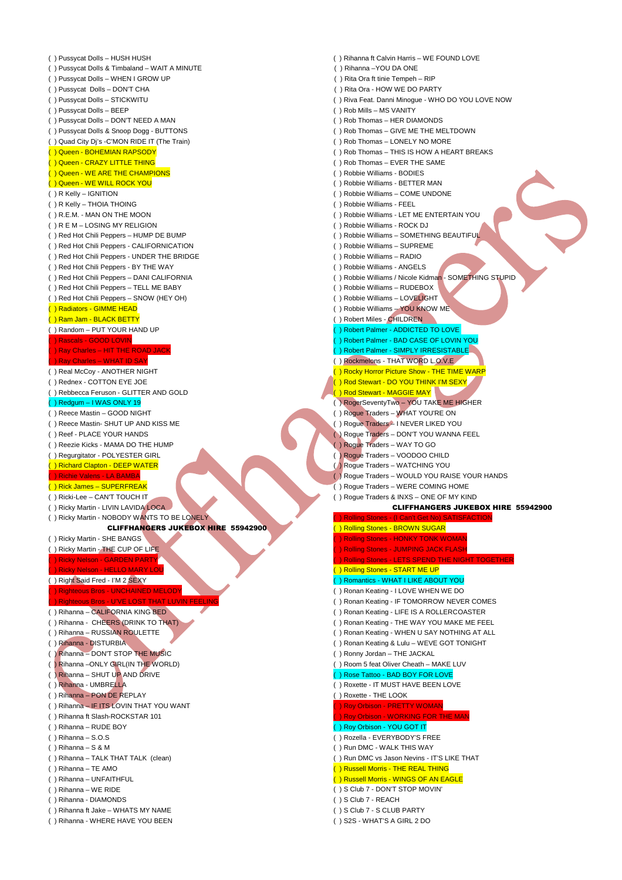( ) Pussycat Dolls – HUSH HUSH ( ) Pussycat Dolls & Timbaland – WAIT A MINUTE ( ) Pussycat Dolls – WHEN I GROW UP ( ) Pussycat Dolls – DON'T CHA ( ) Pussycat Dolls – STICKWITU ( ) Pussycat Dolls – BEEP ( ) Pussycat Dolls – DON'T NEED A MAN ( ) Pussycat Dolls & Snoop Dogg - BUTTONS ( ) Quad City Dj's -C'MON RIDE IT (The Train) ( ) Queen - BOHEMIAN RAPSODY ( ) Queen - CRAZY LITTLE THING ( ) Queen - WE ARE THE CHAMPIONS ( ) Queen - WE WILL ROCK YOU ( ) R Kelly – IGNITION ( ) R Kelly – THOIA THOING ( ) R.E.M. - MAN ON THE MOON ( ) R E M – LOSING MY RELIGION ( ) Red Hot Chili Peppers – HUMP DE BUMP ( ) Red Hot Chili Peppers - CALIFORNICATION ( ) Red Hot Chili Peppers - UNDER THE BRIDGE ( ) Red Hot Chili Peppers - BY THE WAY ( ) Red Hot Chili Peppers – DANI CALIFORNIA ( ) Red Hot Chili Peppers – TELL ME BABY ( ) Red Hot Chili Peppers – SNOW (HEY OH) ( ) Radiators - GIMME HEAD ( ) Ram Jam - BLACK BETTY ( ) Random – PUT YOUR HAND UP ( ) Rascals - GOOD LOVIN ) Ray Charles – HIT THE ROA Ray Charles – WHAT ID SAY ( ) Real McCoy - ANOTHER NIGHT ( ) Rednex - COTTON EYE JOE ( ) Rebbecca Feruson - GLITTER AND GOLD ( ) Redgum – I WAS ONLY 19 ( ) Reece Mastin – GOOD NIGHT ( ) Reece Mastin- SHUT UP AND KISS ME ( ) Reef - PLACE YOUR HANDS ( ) Reezie Kicks - MAMA DO THE HUMP ( ) Regurgitator - POLYESTER GIRL ( ) Richard Clapton - DEEP WATER ) Richie Valens - LA BAMBA ( ) Rick James – SUPERFREAK ( ) Ricki-Lee – CAN'T TOUCH IT ( ) Ricky Martin - LIVIN LAVIDA LOCA ( ) Ricky Martin - NOBODY WANTS TO BE LONELY CLIFFHANGERS JUKEBOX HIRE 55942900 ( ) Ricky Martin - SHE BANGS ( ) Ricky Martin - THE CUP OF LIFE ( ) Ricky Nelson - GARDEN PARTY Ricky Nelson - HELLO MARY ( ) Right Said Fred - I'M 2 SEXY ( ) Righteous Bros - UNCHAINED MELODY Righteous Bros - U'VE LOST THAT L ( ) Rihanna – CALIFORNIA KING BED ( ) Rihanna - CHEERS (DRINK TO THAT) ( ) Rihanna – RUSSIAN ROULETTE ( ) Rihanna - DISTURBIA ( ) Rihanna – DON'T STOP THE MUSIC ( ) Rihanna –ONLY GIRL(IN THE WORLD) ( ) Rihanna – SHUT UP AND DRIVE ( ) Rihanna - UMBRELLA ( ) Rihanna – PON DE REPLAY ( ) Rihanna – IF ITS LOVIN THAT YOU WANT ( ) Rihanna ft Slash-ROCKSTAR 101 ( ) Rihanna – RUDE BOY ( ) Rihanna – S.O.S ( ) Rihanna – S & M ( ) Rihanna – TALK THAT TALK (clean) ( ) Rihanna – TE AMO ( ) Rihanna – UNFAITHFUL ( ) Rihanna – WE RIDE ( ) Rihanna - DIAMONDS ( ) Rihanna ft Jake – WHATS MY NAME ( ) Rihanna ft Calvin Harris – WE FOUND LOVE ( ) Rihanna –YOU DA ONE ( ) Rita Ora ft tinie Tempeh – RIP ( ) Rita Ora - HOW WE DO PARTY ( ) Riva Feat. Danni Minogue - WHO DO YOU LOVE NOW ( ) Rob Mills – MS VANITY ( ) Rob Thomas – HER DIAMONDS ( ) Rob Thomas – GIVE ME THE MELTDOWN ( ) Rob Thomas – LONELY NO MORE ( ) Rob Thomas – THIS IS HOW A HEART BREAKS ( ) Rob Thomas – EVER THE SAME ( ) Robbie Williams - BODIES ( ) Robbie Williams - BETTER MAN ( ) Robbie Williams – COME UNDONE ( ) Robbie Williams - FEEL ( ) Robbie Williams - LET ME ENTERTAIN YOU ( ) Robbie Williams - ROCK DJ ( ) Robbie Williams – SOMETHING BEAUTIFUL ( ) Robbie Williams – SUPREME ( ) Robbie Williams – RADIO ( ) Robbie Williams - ANGELS ( ) Robbie Williams / Nicole Kidman - SOMETHING STUPID ( ) Robbie Williams – RUDEBOX ( ) Robbie Williams – LOVELIGHT ( ) Robbie Williams – YOU KNOW ME ( ) Robert Miles - CHILDREN ( ) Robert Palmer - ADDICTED TO LOVE ( ) Robert Palmer - BAD CASE OF LOVIN YOU ( ) Robert Palmer - SIMPLY IRRESISTABLE ( ) Rockmelons - THAT WORD L.O.V.E ( ) Rocky Horror Picture Show - THE TIME WARP ( ) Rod Stewart - DO YOU THINK I'M SEXY ) Rod Stewart - MAGGIE MAY ( ) RogerSeventyTwo – YOU TAKE ME HIGHER ( ) Rogue Traders – WHAT YOU'RE ON ( ) Rogue Traders – I NEVER LIKED YOU ( ) Rogue Traders – DON'T YOU WANNA FEEL ( ) Rogue Traders – WAY TO GO ( ) Rogue Traders – VOODOO CHILD ( ) Rogue Traders – WATCHING YOU ( ) Rogue Traders – WOULD YOU RAISE YOUR HANDS ( ) Rogue Traders – WERE COMING HOME ( ) Rogue Traders & INXS – ONE OF MY KIND CLIFFHANGERS JUKEBOX HIRE 55942900 ( ) Rolling Stones - (I Can't Get No) SATISFACTION ( ) Rolling Stones - BROWN SUGAR ( ) Rolling Stones - HONKY TONK WOMAN ) Rolling Stones - JUMPING JACK FLASH ( ) Rolling Stones - LETS SPEND THE NIGHT TO ( ) Rolling Stones - START ME UP ( ) Romantics - WHAT I LIKE ABOUT YOU ( ) Ronan Keating - I LOVE WHEN WE DO ( ) Ronan Keating - IF TOMORROW NEVER COMES ( ) Ronan Keating - LIFE IS A ROLLERCOASTER ( ) Ronan Keating - THE WAY YOU MAKE ME FEEL ( ) Ronan Keating - WHEN U SAY NOTHING AT ALL ( ) Ronan Keating & Lulu – WEVE GOT TONIGHT ( ) Ronny Jordan – THE JACKAL ( ) Room 5 feat Oliver Cheath – MAKE LUV ) Rose Tattoo - BAD BOY FOR LOVE ( ) Roxette - IT MUST HAVE BEEN LOVE ( ) Roxette - THE LOOK ( ) Roy Orbison - PRETTY WOMAN ( ) Roy Orbison - WORKING FOR THE MAN ( ) Roy Orbison - YOU GOT IT ( ) Rozella - EVERYBODY'S FREE ( ) Run DMC - WALK THIS WAY ( ) Run DMC vs Jason Nevins - IT'S LIKE THAT ( ) Russell Morris - THE REAL THING ( ) Russell Morris - WINGS OF AN EAGLE ( ) S Club 7 - DON'T STOP MOVIN' ( ) S Club 7 - REACH ( ) S Club 7 - S CLUB PARTY

( ) Rihanna - WHERE HAVE YOU BEEN

( ) S2S - WHAT'S A GIRL 2 DO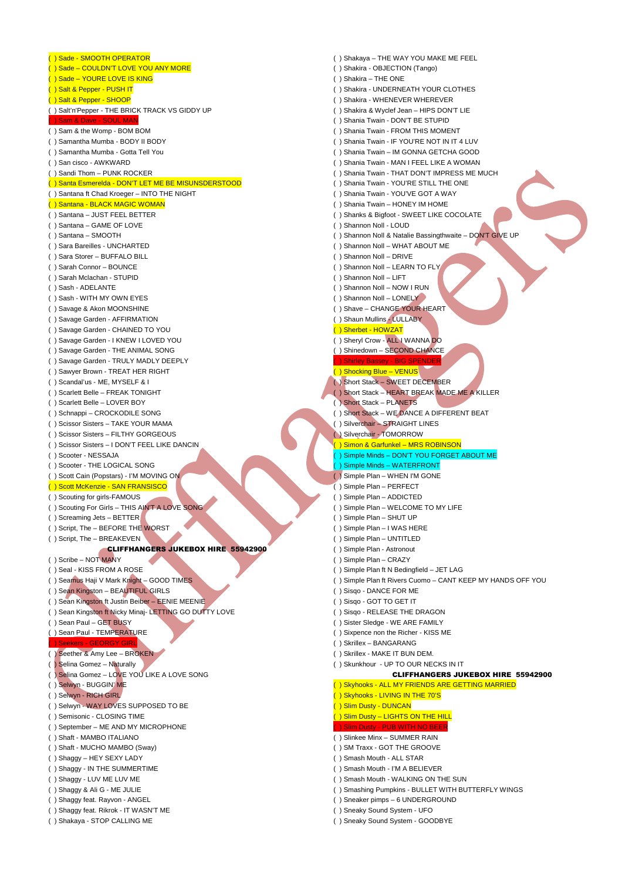( ) Sade - SMOOTH OPERATOR ( ) Sade – COULDN'T LOVE YOU ANY MORE ( ) Sade – YOURE LOVE IS KING ( ) Salt & Pepper - PUSH IT ( ) Salt & Pepper - SHOOP ( ) Salt'n'Pepper - THE BRICK TRACK VS GIDDY UP ( ) Sam & Dave - SOUL MAN ( ) Sam & the Womp - BOM BOM ( ) Samantha Mumba - BODY II BODY ( ) Samantha Mumba - Gotta Tell You ( ) San cisco - AWKWARD ( ) Sandi Thom – PUNK ROCKER ( ) Santa Esmerelda - DON'T LET ME BE MISUNSDERSTOOD ( ) Santana ft Chad Kroeger – INTO THE NIGHT ( ) Santana - BLACK MAGIC WOMAN ( ) Santana – JUST FEEL BETTER ( ) Santana – GAME OF LOVE ( ) Santana – SMOOTH ( ) Sara Bareilles - UNCHARTED ( ) Sara Storer – BUFFALO BILL ( ) Sarah Connor – BOUNCE ( ) Sarah Mclachan - STUPID ( ) Sash - ADELANTE ( ) Sash - WITH MY OWN EYES ( ) Savage & Akon MOONSHINE ( ) Savage Garden - AFFIRMATION ( ) Savage Garden - CHAINED TO YOU ( ) Savage Garden - I KNEW I LOVED YOU ( ) Savage Garden - THE ANIMAL SONG ( ) Savage Garden - TRULY MADLY DEEPLY ( ) Sawyer Brown - TREAT HER RIGHT ( ) Scandal'us - ME, MYSELF & I ( ) Scarlett Belle – FREAK TONIGHT ( ) Scarlett Belle – LOVER BOY ( ) Schnappi – CROCKODILE SONG ( ) Scissor Sisters – TAKE YOUR MAMA ( ) Scissor Sisters – FILTHY GORGEOUS ( ) Scissor Sisters – I DON'T FEEL LIKE DANCIN ( ) Scooter - NESSAJA ( ) Scooter - THE LOGICAL SONG ( ) Scott Cain (Popstars) - I'M MOVING ON ( ) Scott McKenzie - SAN FRANSISCO ( ) Scouting for girls-FAMOUS ( ) Scouting For Girls – THIS AIN'T A LOVE SONG ( ) Screaming Jets – BETTER ( ) Script, The – BEFORE THE WORST ( ) Script, The – BREAKEVEN CLIFFHANGERS JUKEBOX HIRE 55942900 ( ) Scribe – NOT MANY ( ) Seal - KISS FROM A ROSE ( ) Seamus Haji V Mark Knight – GOOD TIMES ( ) Sean Kingston – BEAUTIFUL GIRLS ( ) Sean Kingston ft Justin Beiber – EENIE MEENIE ( ) Sean Kingston ft Nicky Minaj- LETTING GO DUTTY LOVE ( ) Sean Paul – GET BUSY ( ) Sean Paul - TEMPERATURE ( ) Seekers - GEORGY GIRL ( ) Seether & Amy Lee – BROKEN ( ) Selina Gomez – Naturally ( ) Selina Gomez – LOVE YOU LIKE A LOVE SONG ( ) Selwyn - BUGGIN' ME ( ) Selwyn - RICH GIRL ( ) Selwyn - WAY LOVES SUPPOSED TO BE ( ) Semisonic - CLOSING TIME ( ) September – ME AND MY MICROPHONE ( ) Shaft - MAMBO ITALIANO ( ) Shaft - MUCHO MAMBO (Sway) ( ) Shaggy – HEY SEXY LADY ( ) Shaggy - IN THE SUMMERTIME ( ) Shaggy - LUV ME LUV ME ( ) Shaggy & Ali G - ME JULIE ( ) Shaggy feat. Rayvon - ANGEL ( ) Shaggy feat. Rikrok - IT WASN'T ME ( ) Shakaya - STOP CALLING ME

( ) Shakaya – THE WAY YOU MAKE ME FEEL ( ) Shakira - OBJECTION (Tango) ( ) Shakira – THE ONE ( ) Shakira - UNDERNEATH YOUR CLOTHES ( ) Shakira - WHENEVER WHEREVER ( ) Shakira & Wyclef Jean – HIPS DON'T LIE ( ) Shania Twain - DON'T BE STUPID ( ) Shania Twain - FROM THIS MOMENT ( ) Shania Twain - IF YOU'RE NOT IN IT 4 LUV ( ) Shania Twain – IM GONNA GETCHA GOOD ( ) Shania Twain - MAN I FEEL LIKE A WOMAN ( ) Shania Twain - THAT DON'T IMPRESS ME MUCH ( ) Shania Twain - YOU'RE STILL THE ONE ( ) Shania Twain - YOU'VE GOT A WAY ( ) Shania Twain – HONEY IM HOME ( ) Shanks & Bigfoot - SWEET LIKE COCOLATE ( ) Shannon Noll - LOUD ( ) Shannon Noll & Natalie Bassingthwaite – DON'T GIVE UP ( ) Shannon Noll – WHAT ABOUT ME ( ) Shannon Noll – DRIVE ( ) Shannon Noll – LEARN TO FLY ( ) Shannon Noll – LIFT ( ) Shannon Noll – NOW I RUN ( ) Shannon Noll – LONELY ( ) Shave – CHANGE YOUR HEART ( ) Shaun Mullins - LULLABY ( ) Sherbet - HOWZAT ( ) Sheryl Crow - ALL I WANNA DO ( ) Shinedown – SECOND CHANCE ( ) Shirley Bassey - BIG SPE ( ) Shocking Blue – VENUS ( ) Short Stack – SWEET DECEMBER ( ) Short Stack – HEART BREAK MADE ME A KILLER ( ) Short Stack – PLANETS ( ) Short Stack – WE DANCE A DIFFERENT BEAT ( ) Silverchair – STRAIGHT LINES ( ) Silverchair - TOMORROW ) Simon & Garfunkel - MRS ROBINSON ( ) Simple Minds – DON'T YOU FORGET ABOUT ME **Simple Minds – WATERFRONT** ( ) Simple Plan – WHEN I'M GONE ( ) Simple Plan – PERFECT ( ) Simple Plan – ADDICTED ( ) Simple Plan – WELCOME TO MY LIFE ( ) Simple Plan – SHUT UP ( ) Simple Plan – I WAS HERE ( ) Simple Plan – UNTITLED ( ) Simple Plan - Astronout ( ) Simple Plan – CRAZY ( ) Simple Plan ft N Bedingfield – JET LAG ( ) Simple Plan ft Rivers Cuomo – CANT KEEP MY HANDS OFF YOU ( ) Sisqo - DANCE FOR ME ( ) Sisqo - GOT TO GET IT ( ) Sisqo - RELEASE THE DRAGON ( ) Sister Sledge - WE ARE FAMILY ( ) Sixpence non the Richer - KISS ME ( ) Skrillex – BANGARANG ( ) Skrillex - MAKE IT BUN DEM. ( ) Skunkhour - UP TO OUR NECKS IN IT CLIFFHANGERS JUKEBOX HIRE 55942900 ( ) Skyhooks - ALL MY FRIENDS ARE GETTING MARRIED ( ) Skyhooks - LIVING IN THE 70'S ( ) Slim Dusty - DUNCAN ) Slim Dusty – LIGHTS ON THE HILL ( ) Slim Dusty - PUB WITH NO BEER ( ) Slinkee Minx – SUMMER RAIN ( ) SM Traxx - GOT THE GROOVE ( ) Smash Mouth - ALL STAR ( ) Smash Mouth - I'M A BELIEVER ( ) Smash Mouth - WALKING ON THE SUN ( ) Smashing Pumpkins - BULLET WITH BUTTERFLY WINGS ( ) Sneaker pimps – 6 UNDERGROUND

- ( ) Sneaky Sound System UFO
- ( ) Sneaky Sound System GOODBYE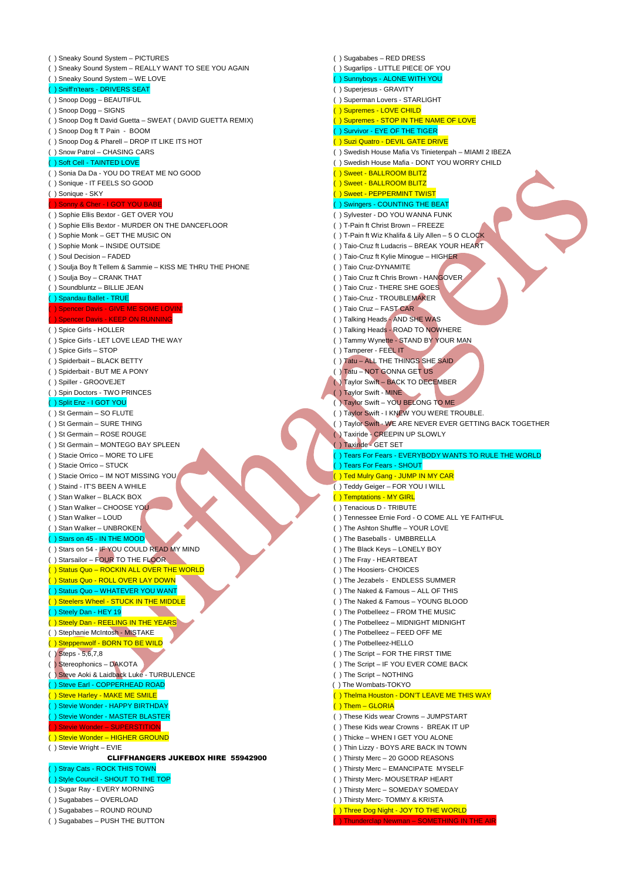( ) Sneaky Sound System – PICTURES ( ) Sneaky Sound System – REALLY WANT TO SEE YOU AGAIN ( ) Sneaky Sound System – WE LOVE ( ) Sniff'n'tears - DRIVERS SEAT ( ) Snoop Dogg – BEAUTIFUL ( ) Snoop Dogg – SIGNS ( ) Snoop Dog ft David Guetta – SWEAT ( DAVID GUETTA REMIX) ( ) Snoop Dog ft T Pain - BOOM ( ) Snoop Dog & Pharell – DROP IT LIKE ITS HOT ( ) Snow Patrol – CHASING CARS Soft Cell - TAINTED LOVE ( ) Sonia Da Da - YOU DO TREAT ME NO GOOD ( ) Sonique - IT FEELS SO GOOD ( ) Sonique - SKY ( ) Sonny & Cher - I GOT YOU BABE ( ) Sophie Ellis Bextor - GET OVER YOU ( ) Sophie Ellis Bextor - MURDER ON THE DANCEFLOOR ( ) Sophie Monk – GET THE MUSIC ON ( ) Sophie Monk – INSIDE OUTSIDE ( ) Soul Decision – FADED ( ) Soulja Boy ft Tellem & Sammie – KISS ME THRU THE PHONE ( ) Soulja Boy – CRANK THAT ( ) Soundbluntz – BILLIE JEAN ( ) Spandau Ballet - TRUE ( ) Spencer Davis - GIVE ME SOME LOVIN' pencer Davis - KEEP ON RUNNING ( ) Spice Girls - HOLLER ( ) Spice Girls - LET LOVE LEAD THE WAY ( ) Spice Girls – STOP ( ) Spiderbait – BLACK BETTY ( ) Spiderbait - BUT ME A PONY ( ) Spiller - GROOVEJET ( ) Spin Doctors - TWO PRINCES ( ) Split Enz - I GOT YOU ( ) St Germain – SO FLUTE ( ) St Germain – SURE THING ( ) St Germain – ROSE ROUGE ( ) St Germain – MONTEGO BAY SPLEEN ( ) Stacie Orrico – MORE TO LIFE ( ) Stacie Orrico – STUCK ( ) Stacie Orrico – IM NOT MISSING YOU ( ) Staind - IT'S BEEN A WHILE ( ) Stan Walker – BLACK BOX ( ) Stan Walker – CHOOSE YOU ( ) Stan Walker – LOUD ( ) Stan Walker – UNBROKEN ) Stars on 45 - IN THE MOOD ( ) Stars on 54 - IF YOU COULD READ MY MIND ( ) Starsailor – FOUR TO THE FLOOR ( ) Status Quo – ROCKIN ALL OVER THE WORLD ) Status Quo - ROLL OVER LAY DOWN ( ) Status Quo – WHATEVER YOU WANT ( ) Steelers Wheel - STUCK IN THE MIDDLE ( ) Steely Dan - HEY 19 ( ) Steely Dan - REELING IN THE YEARS ( ) Stephanie McIntosh - MISTAKE ( ) Steppenwolf - BORN TO BE WILD ( ) Steps - 5,6,7,8 ( ) Stereophonics – DAKOTA ) Steve Aoki & Laidback Luke - TURBULENCE ( ) Steve Earl - COPPERHEAD ROAD ( ) Steve Harley - MAKE ME SMILE ( ) Stevie Wonder - HAPPY BIRTHDAY ( ) Stevie Wonder - MASTER BLASTER ( ) Stevie Wonder – SUPERSTITION ( ) Stevie Wonder – HIGHER GROUND ( ) Stevie Wright – EVIE CLIFFHANGERS JUKEBOX HIRE 55942900 ( ) Stray Cats - ROCK THIS TOWN ( ) Style Council - SHOUT TO THE TOP ( ) Sugar Ray - EVERY MORNING ( ) Sugababes – OVERLOAD ( ) Sugababes – ROUND ROUND ( ) Sugababes – PUSH THE BUTTON

( ) Sugababes – RED DRESS ( ) Sugarlips - LITTLE PIECE OF YOU ( ) Sunnyboys - ALONE WITH YOU ( ) Superjesus - GRAVITY ( ) Superman Lovers - STARLIGHT ( ) Supremes - LOVE CHILD ( ) Supremes - STOP IN THE NAME OF LOVE ( ) Survivor - EYE OF THE TIGER ( ) Suzi Quatro - DEVIL GATE DRIVE ( ) Swedish House Mafia Vs Tinietenpah – MIAMI 2 IBEZA ( ) Swedish House Mafia - DONT YOU WORRY CHILD ( ) Sweet - BALLROOM BLITZ ( ) Sweet - BALLROOM BLITZ ( ) Sweet - PEPPERMINT TWIST () Swingers - COUNTING THE BEAT ( ) Sylvester - DO YOU WANNA FUNK ( ) T-Pain ft Christ Brown – FREEZE ( ) T-Pain ft Wiz Khalifa & Lily Allen – 5 O CLOCK ( ) Taio-Cruz ft Ludacris – BREAK YOUR HEART ( ) Taio-Cruz ft Kylie Minogue – HIGHER ( ) Taio Cruz-DYNAMITE ( ) Taio Cruz ft Chris Brown - HANGOVER ( ) Taio Cruz - THERE SHE GOES ( ) Taio-Cruz - TROUBLEMAKER ( ) Taio Cruz – FAST CAR ( ) Talking Heads - AND SHE WAS ( ) Talking Heads - ROAD TO NOWHERE ( ) Tammy Wynette - STAND BY YOUR MAN ( ) Tamperer - FEEL IT ( ) Tatu – ALL THE THINGS SHE SAID ( ) Tatu – NOT GONNA GET US ( ) Taylor Swift – BACK TO DECEMBER ( ) Taylor Swift - MINE ( ) Taylor Swift – YOU BELONG TO ME ( ) Taylor Swift - I KNEW YOU WERE TROUBLE. ( ) Taylor Swift - WE ARE NEVER EVER GETTING BACK TOGETHER ( ) Taxiride - CREEPIN UP SLOWLY ( ) Taxiride - GET SET ) Tears For Fears - EVERYBODY WANTS TO RULE THE WORLD ( ) Tears For Fears - SHOUT ( ) Ted Mulry Gang - JUMP IN MY CAR ( ) Teddy Geiger – FOR YOU I WILL ( ) Temptations - MY GIRL ( ) Tenacious D - TRIBUTE ( ) Tennessee Ernie Ford - O COME ALL YE FAITHFUL ( ) The Ashton Shuffle – YOUR LOVE ( ) The Baseballs - UMBBRELLA ( ) The Black Keys – LONELY BOY ( ) The Fray - HEARTBEAT ( ) The Hoosiers- CHOICES ( ) The Jezabels - ENDLESS SUMMER ( ) The Naked & Famous – ALL OF THIS ( ) The Naked & Famous – YOUNG BLOOD ( ) The Potbelleez – FROM THE MUSIC ( ) The Potbelleez – MIDNIGHT MIDNIGHT ( ) The Potbelleez – FEED OFF ME ( ) The Potbelleez-HELLO ( ) The Script – FOR THE FIRST TIME ( ) The Script – IF YOU EVER COME BACK ( ) The Script – NOTHING ( ) The Wombats-TOKYO ( ) Thelma Houston - DON'T LEAVE ME THIS WAY ( ) Them – GLORIA ( ) These Kids wear Crowns – JUMPSTART ( ) These Kids wear Crowns - BREAK IT UP ( ) Thicke – WHEN I GET YOU ALONE ( ) Thin Lizzy - BOYS ARE BACK IN TOWN ( ) Thirsty Merc – 20 GOOD REASONS ( ) Thirsty Merc – EMANCIPATE MYSELF ( ) Thirsty Merc- MOUSETRAP HEART ( ) Thirsty Merc – SOMEDAY SOMEDAY ( ) Thirsty Merc- TOMMY & KRISTA ( ) Three Dog Night - JOY TO THE WORLD Thunderclap Newman – SOMETHING IN THE AIR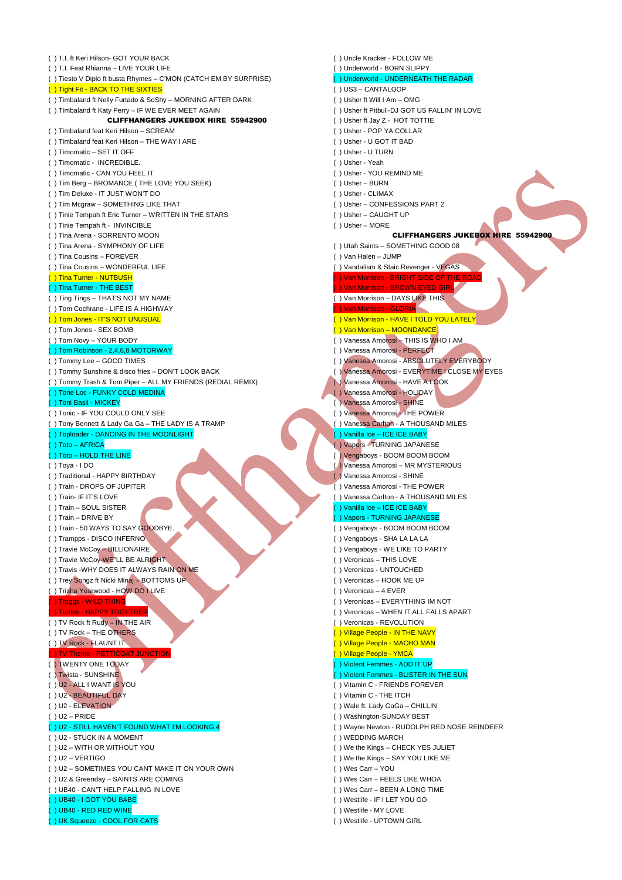| () T.I. ft Keri Hilson- GOT YOUR BACK                            | () Uncle Kracker - FOLLOW ME                   |  |
|------------------------------------------------------------------|------------------------------------------------|--|
| () T.I. Feat Rhianna - LIVE YOUR LIFE                            | () Underworld - BORN SLIPPY                    |  |
| () Tiesto V Diplo ft busta Rhymes - C'MON (CATCH EM BY SURPRISE) | () Underworld - UNDERNEATH THE RADAR           |  |
| () Tight Fit - BACK TO THE SIXTIES                               | $( ) US3 - CANTALOOP$                          |  |
| () Timbaland ft Nelly Furtado & SoShy - MORNING AFTER DARK       | () Usher ft Will I Am - OMG                    |  |
| () Timbaland ft Katy Perry - IF WE EVER MEET AGAIN               | () Usher ft Pitbull-DJ GOT US FALLIN' IN LOVE  |  |
| <b>CLIFFHANGERS JUKEBOX HIRE 55942900</b>                        | () Usher ft Jay Z - HOT TOTTIE                 |  |
| () Timbaland feat Keri Hilson - SCREAM                           | () Usher - POP YA COLLAR                       |  |
| () Timbaland feat Keri Hilson - THE WAY I ARE                    | () Usher - U GOT IT BAD                        |  |
| () Timomatic - SET IT OFF                                        | () Usher - U TURN                              |  |
| () Timomatic - INCREDIBLE.                                       | () Usher - Yeah                                |  |
| () Timomatic - CAN YOU FEEL IT                                   | () Usher - YOU REMIND ME                       |  |
| () Tim Berg - BROMANCE (THE LOVE YOU SEEK)                       | $( )$ Usher - BURN                             |  |
| () Tim Deluxe - IT JUST WON'T DO                                 | () Usher - CLIMAX                              |  |
| () Tim Mcgraw - SOMETHING LIKE THAT                              | () Usher - CONFESSIONS PART 2                  |  |
| () Tinie Tempah ft Eric Turner – WRITTEN IN THE STARS            | () Usher - CAUGHT UP                           |  |
| () Tinie Tempah ft - INVINCIBLE                                  | () Usher - MORE                                |  |
| () Tina Arena - SORRENTO MOON                                    | <b>CLIFFHANGERS JUKEBOX HIF</b>                |  |
| () Tina Arena - SYMPHONY OF LIFE                                 | () Utah Saints - SOMETHING GOOD 08             |  |
| () Tina Cousins – FOREVER                                        | $( )$ Van Halen - JUMP                         |  |
| () Tina Cousins - WONDERFUL LIFE                                 | () Vandalism & Staic Revenger - VEGAS          |  |
| () Tina Turner - NUTBUSH                                         | ) Van Morrison - BRIGHT SIDE OF THE ROAD       |  |
|                                                                  |                                                |  |
| () Tina Turner - THE BEST                                        | ) Van Morrison - BROWN EYED GIRL               |  |
| () Ting Tings - THAT'S NOT MY NAME                               | () Van Morrison - DAYS LIKE THIS               |  |
| () Tom Cochrane - LIFE IS A HIGHWAY                              | ( ) Van Morrison - GLORIA                      |  |
| ( ) Tom Jones - IT'S NOT UNUSUAL                                 | () Van Morrison - HAVE I TOLD YOU LATELY       |  |
| () Tom Jones - SEX BOMB                                          | () Van Morrison - MOONDANCE                    |  |
| () Tom Novy - YOUR BODY                                          | () Vanessa Amorosi - THIS IS WHO I AM          |  |
| () Tom Robinson - 2,4,6,8 MOTORWAY                               | () Vanessa Amorosi - PERFECT                   |  |
| () Tommy Lee - GOOD TIMES                                        | () Vanessa Amorosi - ABSOLUTELY EVERYBODY      |  |
| () Tommy Sunshine & disco fries - DON'T LOOK BACK                | () Vanessa Amorosi - EVERYTIME I CLOSE MY EYES |  |
| () Tommy Trash & Tom Piper – ALL MY FRIENDS (REDIAL REMIX)       | () Vanessa Amorosi - HAVE A LOOK               |  |
| () Tone Loc - FUNKY COLD MEDINA                                  | () Vanessa Amorosi - HOLIDAY                   |  |
| () Toni Basil - MICKEY                                           | () Vanessa Amorosi - SHINE                     |  |
| () Tonic - IF YOU COULD ONLY SEE                                 | () Vanessa Amorosi - THE POWER                 |  |
| () Tony Bennett & Lady Ga Ga - THE LADY IS A TRAMP               | () Vanessa Carlton - A THOUSAND MILES          |  |
| () Toploader - DANCING IN THE MOONLIGHT                          | () Vanilla Ice - ICE ICE BABY                  |  |
| () Toto - AFRICA                                                 | () Vapors - TURNING JAPANESE                   |  |
| () Toto - HOLD THE LINE                                          | () Vengaboys - BOOM BOOM BOOM                  |  |
| ( ) Toya - I DO                                                  | (A) Vanessa Amorosi - MR MYSTERIOUS            |  |
| () Traditional - HAPPY BIRTHDAY                                  | ( ) Vanessa Amorosi - SHINE                    |  |
| () Train - DROPS OF JUPITER                                      | () Vanessa Amorosi - THE POWER                 |  |
| () Train- IF IT'S LOVE                                           | () Vanessa Carlton - A THOUSAND MILES          |  |
| () Train – SOUL SISTER                                           | () Vanilla Ice - ICE ICE BABY                  |  |
| () Train - DRIVE BY                                              | () Vapors - TURNING JAPANESE                   |  |
| () Train - 50 WAYS TO SAY GOODBYE.                               | () Vengaboys - BOOM BOOM BOOM                  |  |
| () Trampps - DISCO INFERNO                                       | () Vengaboys - SHA LA LA LA                    |  |
| () Travie McCoy - BILLIONAIRE                                    | () Vengaboys - WE LIKE TO PARTY                |  |
| () Travie McCoy-WE"LL BE ALRIGHT                                 | () Veronicas - THIS LOVE                       |  |
| () Travis -WHY DOES IT ALWAYS RAIN ON ME                         | () Veronicas - UNTOUCHED                       |  |
| () Trey Songz ft Nicki Minaj - BOTTOMS UP                        | () Veronicas - HOOK ME UP                      |  |
| () Trisha Yearwood - HOW DO LIVE                                 | () Veronicas - 4 EVER                          |  |
| () Troggs - WILD THING                                           | () Veronicas - EVERYTHING IM NOT               |  |
| () Turtles - HAPPY TOGETHER                                      | () Veronicas - WHEN IT ALL FALLS APART         |  |
| () TV Rock ft Rudy - IN THE AIR                                  | () Veronicas - REVOLUTION                      |  |
| () TV Rock - THE OTHERS                                          | () Village People - IN THE NAVY                |  |
| () TV Rock - FLAUNT IT                                           | () Village People - MACHO MAN                  |  |
| () TV Theme - PETTICOAT JUNCTION                                 | () Village People - YMCA                       |  |
| () TWENTY ONE TODAY                                              | () Violent Femmes - ADD IT UP                  |  |
| () Twista - SUNSHINE                                             | () Violent Femmes - BLISTER IN THE SUN         |  |
| () U2 - ALL I WANT IS YOU                                        | () Vitamin C - FRIENDS FOREVER                 |  |
| () U2 - BEAUTIFUL DAY                                            | () Vitamin C - THE ITCH                        |  |
| ()U2 - ELEVATION                                                 | () Wale ft. Lady GaGa - CHILLIN                |  |
| () U2 – PRIDE                                                    | () Washington-SUNDAY BEST                      |  |
| () U2 - STILL HAVEN'T FOUND WHAT I'M LOOKING 4                   | () Wayne Newton - RUDOLPH RED NOSE REINDEER    |  |
| () U2 - STUCK IN A MOMENT                                        | () WEDDING MARCH                               |  |
| () U2 - WITH OR WITHOUT YOU                                      | () We the Kings - CHECK YES JULIET             |  |
| ()U2 – VERTIGO                                                   | () We the Kings - SAY YOU LIKE ME              |  |
| ( ) U2 – SOMETIMES YOU CANT MAKE IT ON YOUR OWN                  | () Wes Carr - YOU                              |  |
| () U2 & Greenday - SAINTS ARE COMING                             | () Wes Carr - FEELS LIKE WHOA                  |  |
| () UB40 - CAN'T HELP FALLING IN LOVE                             | () Wes Carr - BEEN A LONG TIME                 |  |
| () UB40 - I GOT YOU BABE                                         | () Westlife - IF I LET YOU GO                  |  |
| () UB40 - RED RED WINE                                           | () Westlife - MY LOVE                          |  |
| () UK Squeeze - COOL FOR CATS                                    | () Westlife - UPTOWN GIRL                      |  |
|                                                                  |                                                |  |

CLIFFHANGERS JUKEBOX HIRE 55942900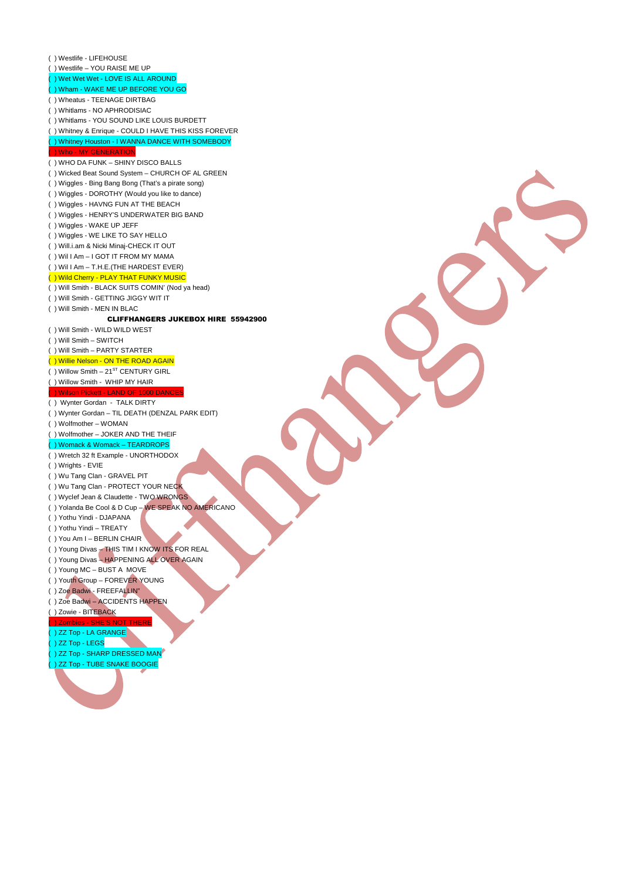( ) Westlife - LIFEHOUSE ( ) Westlife – YOU RAISE ME UP ( ) Wet Wet Wet - LOVE IS ALL AROUND ( ) Wham - WAKE ME UP BEFORE YOU GO ( ) Wheatus - TEENAGE DIRTBAG ( ) Whitlams - NO APHRODISIAC ( ) Whitlams - YOU SOUND LIKE LOUIS BURDETT ( ) Whitney & Enrique - COULD I HAVE THIS KISS FOREVER ( ) Whitney Houston - I WANNA DANCE WITH SOMEBODY ( ) Who - MY GENERATION ( ) WHO DA FUNK – SHINY DISCO BALLS ( ) Wicked Beat Sound System – CHURCH OF AL GREEN ( ) Wiggles - Bing Bang Bong (That's a pirate song) ( ) Wiggles - DOROTHY (Would you like to dance) ( ) Wiggles - HAVNG FUN AT THE BEACH ( ) Wiggles - HENRY'S UNDERWATER BIG BAND ( ) Wiggles - WAKE UP JEFF ( ) Wiggles - WE LIKE TO SAY HELLO ( ) Will.i.am & Nicki Minaj-CHECK IT OUT ( ) Wil I Am – I GOT IT FROM MY MAMA ( ) Wil I Am – T.H.E.(THE HARDEST EVER) ( ) Wild Cherry - PLAY THAT FUNKY MUSIC ( ) Will Smith - BLACK SUITS COMIN' (Nod ya head) ( ) Will Smith - GETTING JIGGY WIT IT ( ) Will Smith - MEN IN BLAC CLIFFHANGERS JUKEBOX HIRE 55942900 ( ) Will Smith - WILD WILD WEST ( ) Will Smith – SWITCH ( ) Will Smith – PARTY STARTER ( ) Willie Nelson - ON THE ROAD AGAIN  $($  ) Willow Smith – 21<sup>ST</sup> CENTURY GIRL ( ) Willow Smith - WHIP MY HAIR ( ) Wilson Pickett - LAND OF 1000 DANCES ( ) Wynter Gordan - TALK DIRTY ( ) Wynter Gordan – TIL DEATH (DENZAL PARK EDIT) ( ) Wolfmother – WOMAN ( ) Wolfmother – JOKER AND THE THEIF ( ) Womack & Womack - TEARDR ( ) Wretch 32 ft Example - UNORTHODOX ( ) Wrights - EVIE ( ) Wu Tang Clan - GRAVEL PIT ( ) Wu Tang Clan - PROTECT YOUR NECK ( ) Wyclef Jean & Claudette - TWO WRONGS ( ) Yolanda Be Cool & D Cup – WE SPEAK NO AMERICANO ( ) Yothu Yindi - DJAPANA ( ) Yothu Yindi – TREATY ( ) You Am I – BERLIN CHAIR ( ) Young Divas – THIS TIM I KNOW ITS FOR REAL ( ) Young Divas – HAPPENING ALL OVER AGAIN ( ) Young MC – BUST A MOVE ( ) Youth Group – FOREVER YOUNG ( ) Zoe Badwi - FREEFALLIN" ( ) Zoe Badwi – ACCIDENTS HAPPEN ( ) Zowie - BITEBACK S NOT ( ) ZZ Top - LA GRANGE ( ) ZZ Top - LEGS ( ) ZZ Top - SHARP DRESSED MAN ( ) ZZ Top - TUBE SNAKE BOOGIE